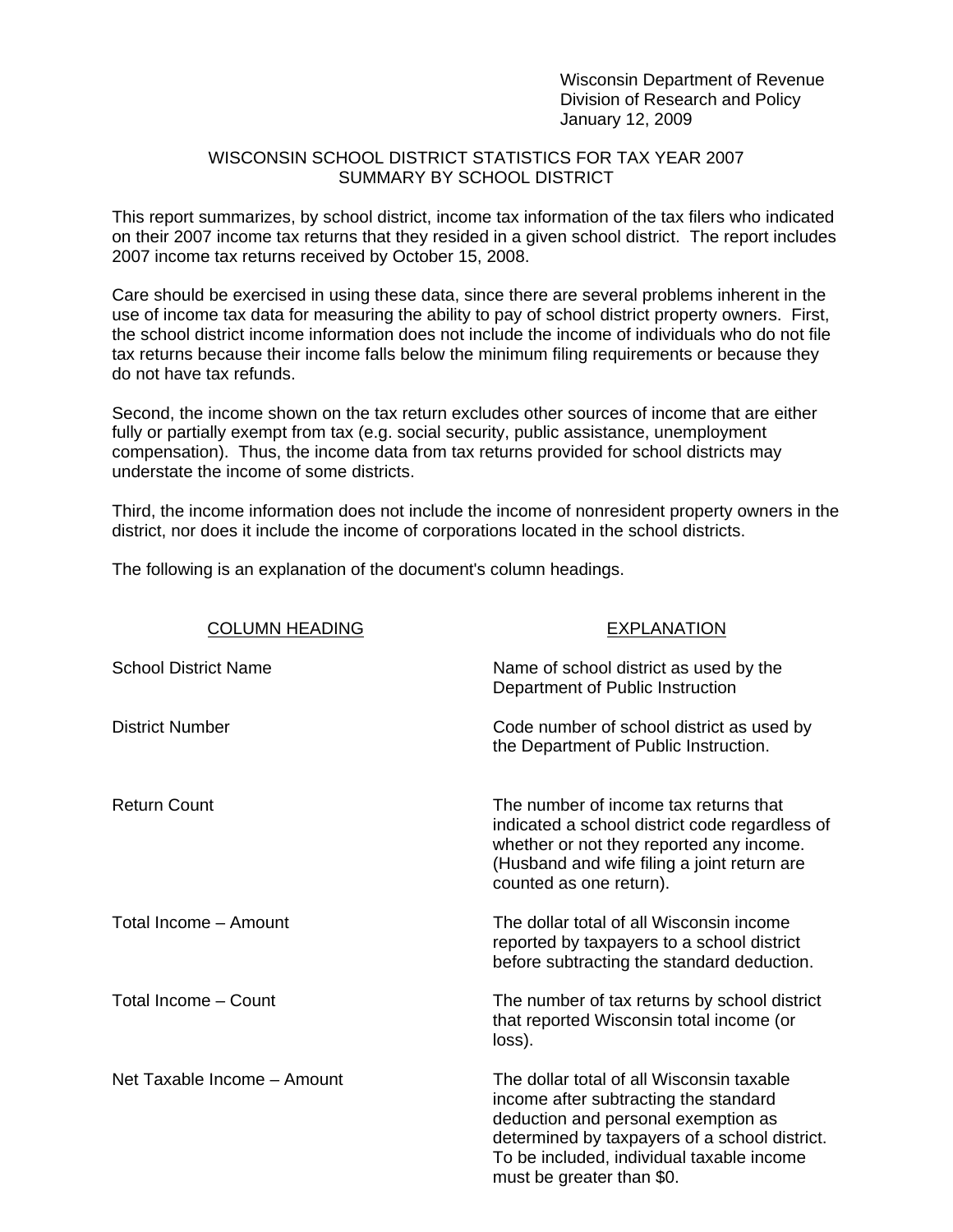# WISCONSIN SCHOOL DISTRICT STATISTICS FOR TAX YEAR 2007 SUMMARY BY SCHOOL DISTRICT

This report summarizes, by school district, income tax information of the tax filers who indicated on their 2007 income tax returns that they resided in a given school district. The report includes 2007 income tax returns received by October 15, 2008.

Care should be exercised in using these data, since there are several problems inherent in the use of income tax data for measuring the ability to pay of school district property owners. First, the school district income information does not include the income of individuals who do not file tax returns because their income falls below the minimum filing requirements or because they do not have tax refunds.

Second, the income shown on the tax return excludes other sources of income that are either fully or partially exempt from tax (e.g. social security, public assistance, unemployment compensation). Thus, the income data from tax returns provided for school districts may understate the income of some districts.

Third, the income information does not include the income of nonresident property owners in the district, nor does it include the income of corporations located in the school districts.

The following is an explanation of the document's column headings.

| <b>COLUMN HEADING</b>       | <b>EXPLANATION</b>                                                                                                                                                                                                                                   |
|-----------------------------|------------------------------------------------------------------------------------------------------------------------------------------------------------------------------------------------------------------------------------------------------|
| <b>School District Name</b> | Name of school district as used by the<br>Department of Public Instruction                                                                                                                                                                           |
| District Number             | Code number of school district as used by<br>the Department of Public Instruction.                                                                                                                                                                   |
| <b>Return Count</b>         | The number of income tax returns that<br>indicated a school district code regardless of<br>whether or not they reported any income.<br>(Husband and wife filing a joint return are<br>counted as one return).                                        |
| Total Income - Amount       | The dollar total of all Wisconsin income<br>reported by taxpayers to a school district<br>before subtracting the standard deduction.                                                                                                                 |
| Total Income - Count        | The number of tax returns by school district<br>that reported Wisconsin total income (or<br>loss).                                                                                                                                                   |
| Net Taxable Income - Amount | The dollar total of all Wisconsin taxable<br>income after subtracting the standard<br>deduction and personal exemption as<br>determined by taxpayers of a school district.<br>To be included, individual taxable income<br>must be greater than \$0. |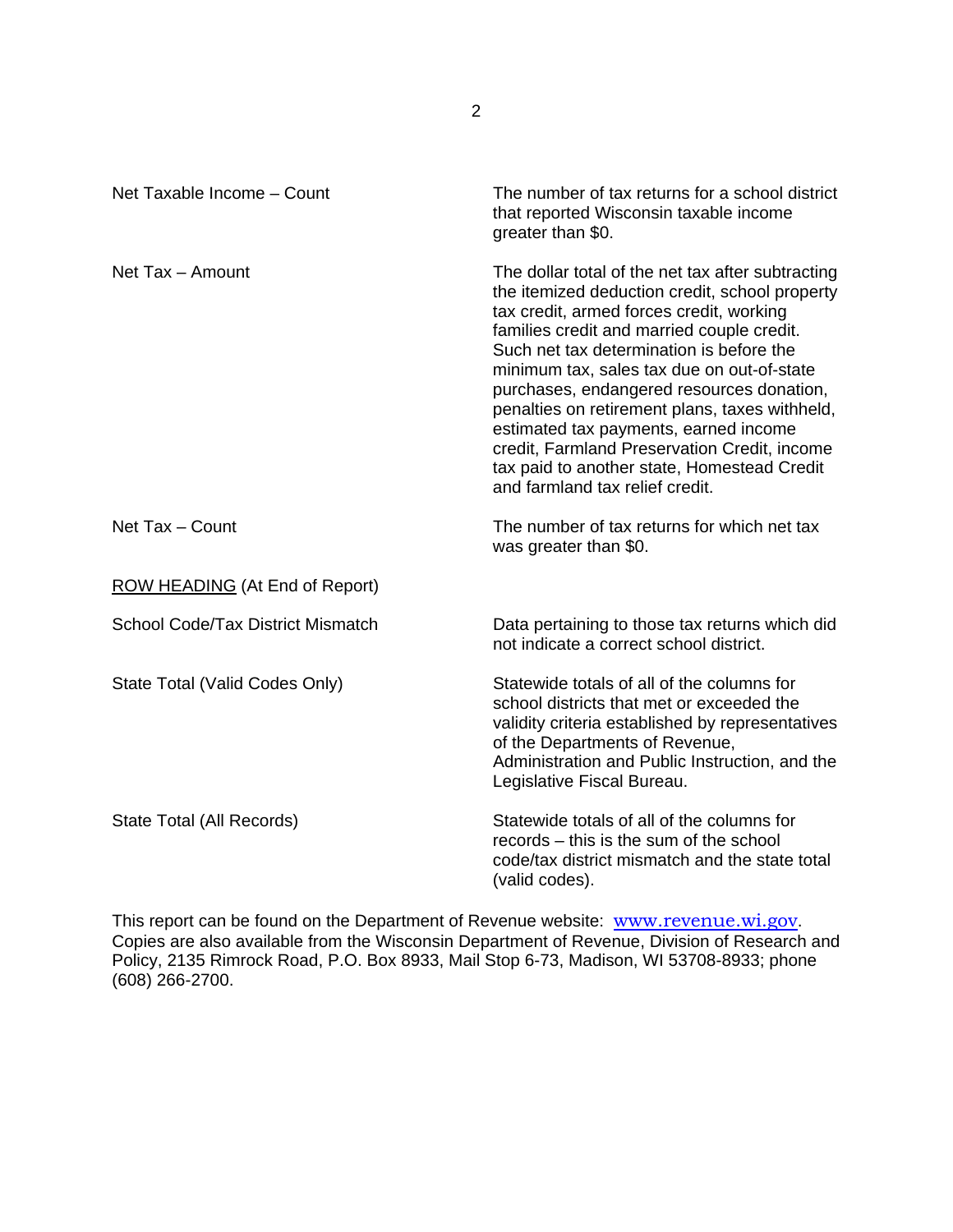| Net Taxable Income - Count            | The number of tax returns for a school district<br>that reported Wisconsin taxable income<br>greater than \$0.                                                                                                                                                                                                                                                                                                                                                                                                                                                    |
|---------------------------------------|-------------------------------------------------------------------------------------------------------------------------------------------------------------------------------------------------------------------------------------------------------------------------------------------------------------------------------------------------------------------------------------------------------------------------------------------------------------------------------------------------------------------------------------------------------------------|
| Net Tax - Amount                      | The dollar total of the net tax after subtracting<br>the itemized deduction credit, school property<br>tax credit, armed forces credit, working<br>families credit and married couple credit.<br>Such net tax determination is before the<br>minimum tax, sales tax due on out-of-state<br>purchases, endangered resources donation,<br>penalties on retirement plans, taxes withheld,<br>estimated tax payments, earned income<br>credit, Farmland Preservation Credit, income<br>tax paid to another state, Homestead Credit<br>and farmland tax relief credit. |
| Net Tax - Count                       | The number of tax returns for which net tax<br>was greater than \$0.                                                                                                                                                                                                                                                                                                                                                                                                                                                                                              |
| <b>ROW HEADING (At End of Report)</b> |                                                                                                                                                                                                                                                                                                                                                                                                                                                                                                                                                                   |
| School Code/Tax District Mismatch     | Data pertaining to those tax returns which did<br>not indicate a correct school district.                                                                                                                                                                                                                                                                                                                                                                                                                                                                         |
| State Total (Valid Codes Only)        | Statewide totals of all of the columns for<br>school districts that met or exceeded the<br>validity criteria established by representatives<br>of the Departments of Revenue,<br>Administration and Public Instruction, and the<br>Legislative Fiscal Bureau.                                                                                                                                                                                                                                                                                                     |
| State Total (All Records)             | Statewide totals of all of the columns for<br>records – this is the sum of the school<br>code/tax district mismatch and the state total<br>(valid codes).                                                                                                                                                                                                                                                                                                                                                                                                         |

This report can be found on the Department of Revenue website: [www.revenue.wi.gov](http://www.revenue.wi.gov/). Copies are also available from the Wisconsin Department of Revenue, Division of Research and Policy, 2135 Rimrock Road, P.O. Box 8933, Mail Stop 6-73, Madison, WI 53708-8933; phone (608) 266-2700.

2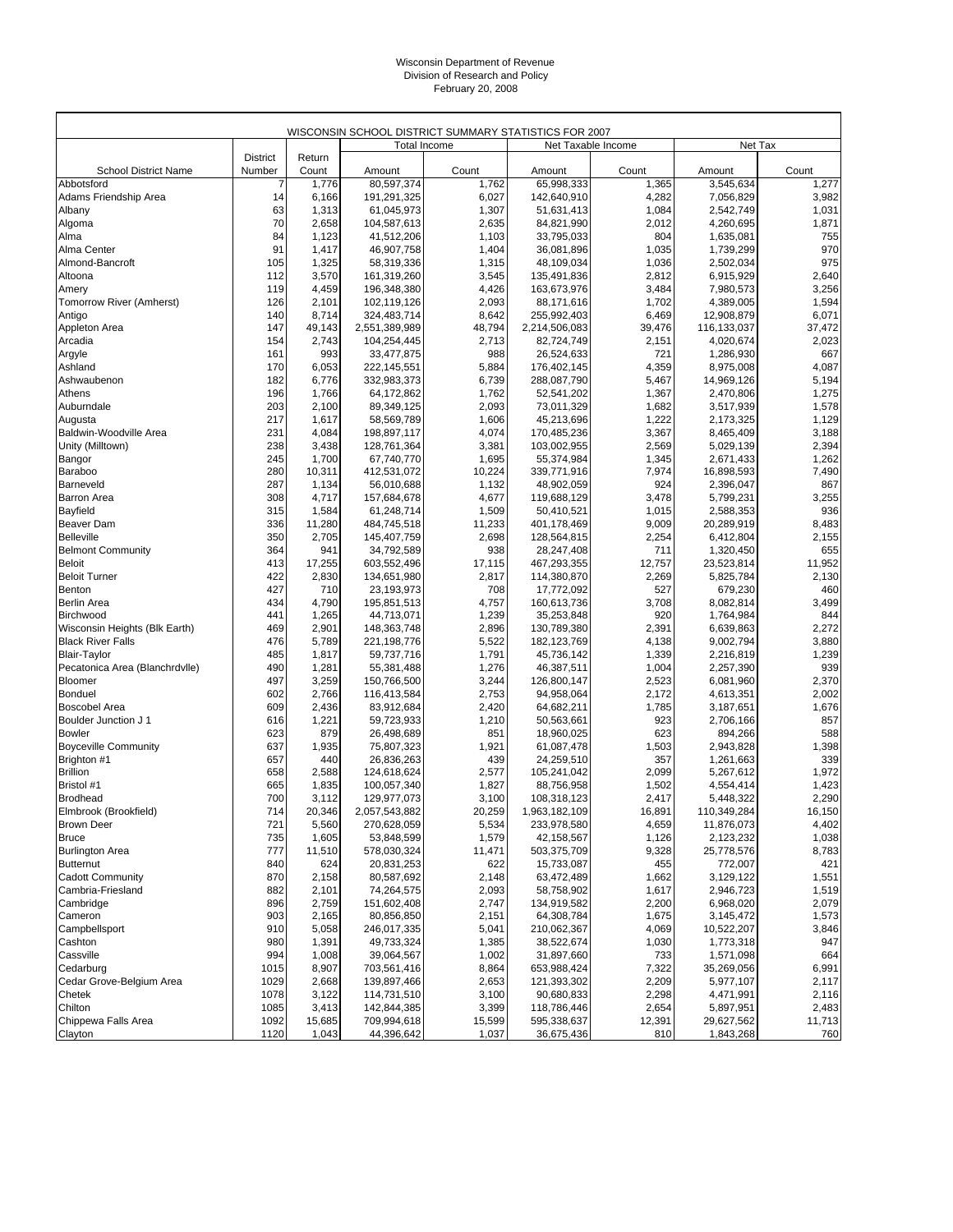| WISCONSIN SCHOOL DISTRICT SUMMARY STATISTICS FOR 2007 |                 |                 |                            |                 |                            |                    |                         |                 |  |
|-------------------------------------------------------|-----------------|-----------------|----------------------------|-----------------|----------------------------|--------------------|-------------------------|-----------------|--|
|                                                       |                 |                 | <b>Total Income</b>        |                 |                            | Net Taxable Income | Net Tax                 |                 |  |
|                                                       | <b>District</b> | Return          |                            |                 |                            |                    |                         |                 |  |
| <b>School District Name</b><br>Abbotsford             | Number<br>7     | Count<br>1,776  | Amount<br>80,597,374       | Count<br>1,762  | Amount<br>65,998,333       | Count<br>1,365     | Amount<br>3,545,634     | Count<br>1,277  |  |
| Adams Friendship Area                                 | 14              | 6,166           | 191,291,325                | 6,027           | 142,640,910                | 4,282              | 7,056,829               | 3,982           |  |
| Albany                                                | 63              | 1,313           | 61,045,973                 | 1,307           | 51,631,413                 | 1,084              | 2,542,749               | 1,031           |  |
| Algoma                                                | 70              | 2,658           | 104,587,613                | 2,635           | 84,821,990                 | 2,012              | 4,260,695               | 1,871           |  |
| Alma                                                  | 84              | 1,123           | 41,512,206                 | 1,103           | 33,795,033                 | 804                | 1,635,081               | 755             |  |
| Alma Center                                           | 91              | 1,417           | 46,907,758                 | 1,404           | 36,081,896                 | 1,035              | 1,739,299               | 970             |  |
| Almond-Bancroft                                       | 105             | 1,325           | 58,319,336                 | 1,315           | 48,109,034                 | 1,036              | 2,502,034               | 975             |  |
| Altoona                                               | 112             | 3,570           | 161,319,260                | 3,545           | 135,491,836                | 2,812              | 6,915,929               | 2,640           |  |
| Amery                                                 | 119             | 4,459           | 196,348,380                | 4,426           | 163,673,976                | 3,484              | 7,980,573               | 3,256           |  |
| Tomorrow River (Amherst)<br>Antigo                    | 126<br>140      | 2,101<br>8,714  | 102,119,126<br>324,483,714 | 2,093<br>8,642  | 88,171,616<br>255,992,403  | 1,702<br>6,469     | 4,389,005<br>12,908,879 | 1,594<br>6,071  |  |
| Appleton Area                                         | 147             | 49,143          | 2,551,389,989              | 48,794          | 2,214,506,083              | 39,476             | 116,133,037             | 37,472          |  |
| Arcadia                                               | 154             | 2,743           | 104,254,445                | 2,713           | 82,724,749                 | 2,151              | 4,020,674               | 2,023           |  |
| Argyle                                                | 161             | 993             | 33,477,875                 | 988             | 26,524,633                 | 721                | 1,286,930               | 667             |  |
| Ashland                                               | 170             | 6,053           | 222,145,551                | 5,884           | 176,402,145                | 4,359              | 8,975,008               | 4,087           |  |
| Ashwaubenon                                           | 182             | 6,776           | 332,983,373                | 6,739           | 288,087,790                | 5,467              | 14,969,126              | 5,194           |  |
| Athens                                                | 196             | 1,766           | 64,172,862                 | 1,762           | 52,541,202                 | 1,367              | 2,470,806               | 1,275           |  |
| Auburndale                                            | 203             | 2,100           | 89,349,125                 | 2,093           | 73,011,329                 | 1,682              | 3,517,939               | 1,578           |  |
| Augusta<br>Baldwin-Woodville Area                     | 217<br>231      | 1,617<br>4,084  | 58,569,789<br>198,897,117  | 1,606<br>4,074  | 45,213,696<br>170,485,236  | 1,222<br>3,367     | 2,173,325<br>8,465,409  | 1,129<br>3,188  |  |
| Unity (Milltown)                                      | 238             | 3,438           | 128,761,364                | 3,381           | 103,002,955                | 2,569              | 5,029,139               | 2,394           |  |
| Bangor                                                | 245             | 1,700           | 67,740,770                 | 1,695           | 55,374,984                 | 1,345              | 2,671,433               | 1,262           |  |
| Baraboo                                               | 280             | 10,311          | 412,531,072                | 10,224          | 339,771,916                | 7,974              | 16,898,593              | 7,490           |  |
| Barneveld                                             | 287             | 1,134           | 56,010,688                 | 1,132           | 48,902,059                 | 924                | 2,396,047               | 867             |  |
| <b>Barron Area</b>                                    | 308             | 4,717           | 157,684,678                | 4,677           | 119,688,129                | 3,478              | 5,799,231               | 3,255           |  |
| Bayfield                                              | 315             | 1,584           | 61,248,714                 | 1,509           | 50,410,521                 | 1,015              | 2,588,353               | 936             |  |
| <b>Beaver Dam</b>                                     | 336             | 11,280          | 484,745,518                | 11,233          | 401,178,469                | 9,009              | 20,289,919              | 8,483           |  |
| <b>Belleville</b>                                     | 350             | 2,705           | 145,407,759                | 2,698<br>938    | 128,564,815                | 2,254              | 6,412,804               | 2,155<br>655    |  |
| <b>Belmont Community</b><br><b>Beloit</b>             | 364<br>413      | 941<br>17,255   | 34,792,589<br>603,552,496  | 17,115          | 28,247,408<br>467,293,355  | 711<br>12,757      | 1,320,450<br>23,523,814 | 11,952          |  |
| <b>Beloit Turner</b>                                  | 422             | 2,830           | 134,651,980                | 2,817           | 114,380,870                | 2,269              | 5,825,784               | 2,130           |  |
| Benton                                                | 427             | 710             | 23,193,973                 | 708             | 17,772,092                 | 527                | 679,230                 | 460             |  |
| <b>Berlin Area</b>                                    | 434             | 4,790           | 195,851,513                | 4,757           | 160,613,736                | 3,708              | 8,082,814               | 3,499           |  |
| Birchwood                                             | 441             | 1,265           | 44,713,071                 | 1,239           | 35,253,848                 | 920                | 1,764,984               | 844             |  |
| Wisconsin Heights (Blk Earth)                         | 469             | 2,901           | 148,363,748                | 2,896           | 130,789,380                | 2,391              | 6,639,863               | 2,272           |  |
| <b>Black River Falls</b>                              | 476             | 5,789           | 221,198,776                | 5,522           | 182,123,769                | 4,138              | 9,002,794               | 3,880           |  |
| <b>Blair-Taylor</b><br>Pecatonica Area (Blanchrdvlle) | 485<br>490      | 1,817<br>1,281  | 59,737,716<br>55,381,488   | 1,791<br>1,276  | 45,736,142<br>46,387,511   | 1,339<br>1,004     | 2,216,819<br>2,257,390  | 1,239<br>939    |  |
| Bloomer                                               | 497             | 3,259           | 150,766,500                | 3,244           | 126,800,147                | 2,523              | 6,081,960               | 2,370           |  |
| Bonduel                                               | 602             | 2,766           | 116,413,584                | 2,753           | 94,958,064                 | 2,172              | 4,613,351               | 2,002           |  |
| <b>Boscobel Area</b>                                  | 609             | 2,436           | 83,912,684                 | 2,420           | 64,682,211                 | 1,785              | 3,187,651               | 1,676           |  |
| Boulder Junction J 1                                  | 616             | 1,221           | 59,723,933                 | 1,210           | 50,563,661                 | 923                | 2,706,166               | 857             |  |
| <b>Bowler</b>                                         | 623             | 879             | 26,498,689                 | 851             | 18,960,025                 | 623                | 894,266                 | 588             |  |
| <b>Boyceville Community</b>                           | 637             | 1,935           | 75,807,323                 | 1,921           | 61,087,478                 | 1,503              | 2,943,828               | 1,398           |  |
| Brighton #1                                           | 657             | 440             | 26,836,263                 | 439             | 24,259,510                 | 357                | 1,261,663               | 339             |  |
| <b>Brillion</b><br>Bristol #1                         | 658<br>665      | 2,588<br>1,835  | 124,618,624<br>100,057,340 | 2,577<br>1,827  | 105,241,042<br>88,756,958  | 2,099<br>1,502     | 5,267,612<br>4,554,414  | 1,972<br>1,423  |  |
| <b>Brodhead</b>                                       | 700             | 3,112           | 129,977,073                | 3,100           | 108,318,123                | 2,417              | 5,448,322               | 2,290           |  |
| Elmbrook (Brookfield)                                 | 114             | 20,346          | 2,057,543,882              | 20,259          | 1,963,182,109              | 16,891             | 110,349,284             | 16,150          |  |
| <b>Brown Deer</b>                                     | 721             | 5,560           | 270,628,059                | 5,534           | 233,978,580                | 4,659              | 11,876,073              | 4,402           |  |
| <b>Bruce</b>                                          | 735             | 1,605           | 53,848,599                 | 1,579           | 42,158,567                 | 1,126              | 2,123,232               | 1,038           |  |
| <b>Burlington Area</b>                                | 777             | 11,510          | 578,030,324                | 11,471          | 503,375,709                | 9,328              | 25,778,576              | 8,783           |  |
| <b>Butternut</b>                                      | 840             | 624             | 20,831,253                 | 622             | 15,733,087                 | 455                | 772,007                 | 421             |  |
| <b>Cadott Community</b><br>Cambria-Friesland          | 870<br>882      | 2,158           | 80,587,692                 | 2,148           | 63,472,489                 | 1,662              | 3,129,122<br>2,946,723  | 1,551           |  |
| Cambridge                                             | 896             | 2,101<br>2,759  | 74,264,575<br>151,602,408  | 2,093<br>2,747  | 58,758,902<br>134,919,582  | 1,617<br>2,200     | 6,968,020               | 1,519<br>2,079  |  |
| Cameron                                               | 903             | 2,165           | 80,856,850                 | 2,151           | 64,308,784                 | 1,675              | 3,145,472               | 1,573           |  |
| Campbellsport                                         | 910             | 5,058           | 246,017,335                | 5,041           | 210,062,367                | 4,069              | 10,522,207              | 3,846           |  |
| Cashton                                               | 980             | 1,391           | 49,733,324                 | 1,385           | 38,522,674                 | 1,030              | 1,773,318               | 947             |  |
| Cassville                                             | 994             | 1,008           | 39,064,567                 | 1,002           | 31,897,660                 | 733                | 1,571,098               | 664             |  |
| Cedarburg                                             | 1015            | 8,907           | 703,561,416                | 8,864           | 653,988,424                | 7,322              | 35,269,056              | 6,991           |  |
| Cedar Grove-Belgium Area                              | 1029            | 2,668           | 139,897,466                | 2,653           | 121,393,302                | 2,209              | 5,977,107               | 2,117           |  |
| Chetek                                                | 1078            | 3,122           | 114,731,510                | 3,100           | 90,680,833                 | 2,298              | 4,471,991               | 2,116           |  |
| Chilton<br>Chippewa Falls Area                        | 1085<br>1092    | 3,413<br>15,685 | 142,844,385<br>709,994,618 | 3,399<br>15,599 | 118,786,446<br>595,338,637 | 2,654<br>12,391    | 5,897,951<br>29,627,562 | 2,483<br>11,713 |  |
| Clayton                                               | 1120            | 1,043           | 44,396,642                 | 1,037           | 36,675,436                 | 810                | 1,843,268               | 760             |  |
|                                                       |                 |                 |                            |                 |                            |                    |                         |                 |  |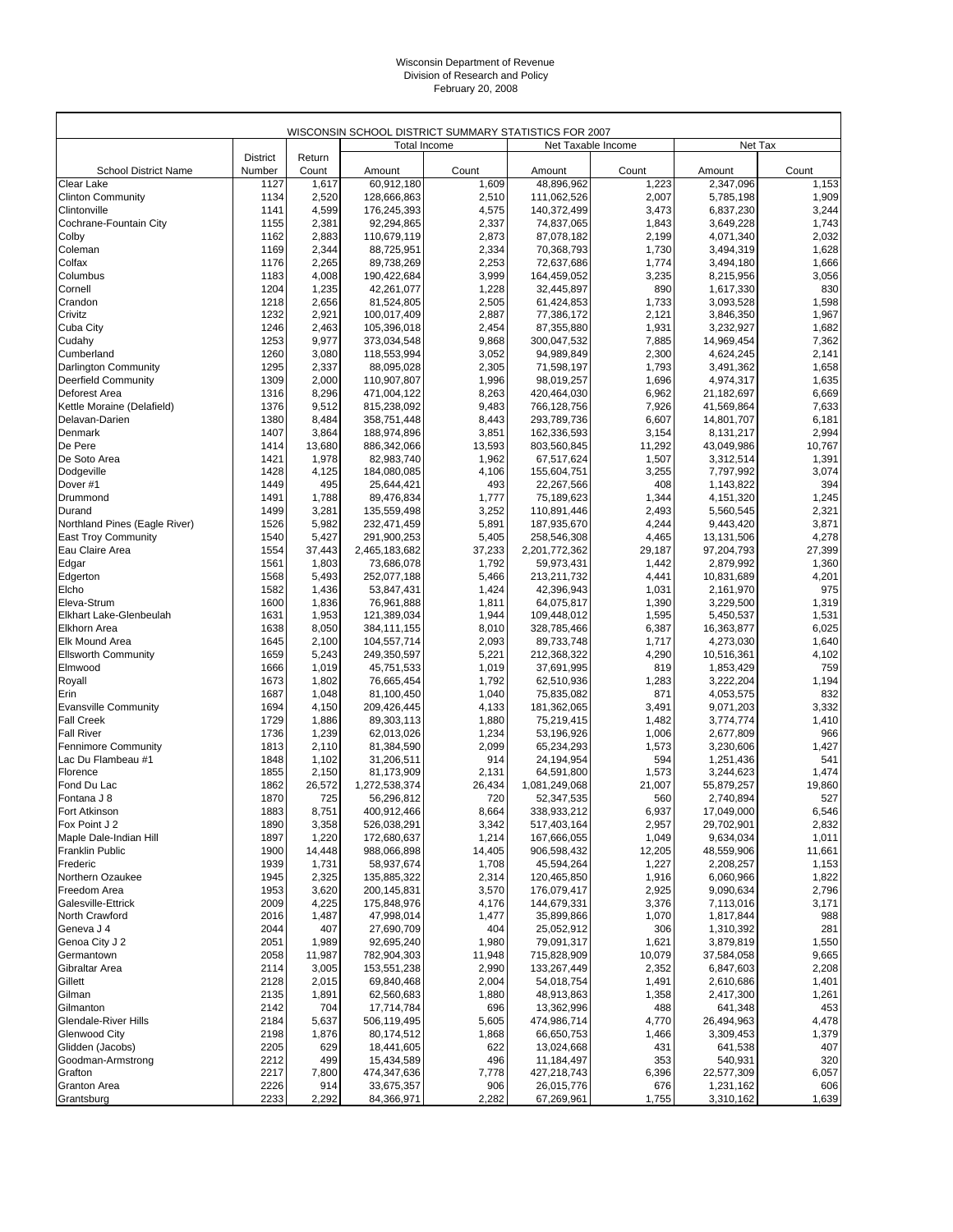| WISCONSIN SCHOOL DISTRICT SUMMARY STATISTICS FOR 2007 |                 |                |                            |                |                            |                    |                          |                |  |
|-------------------------------------------------------|-----------------|----------------|----------------------------|----------------|----------------------------|--------------------|--------------------------|----------------|--|
|                                                       |                 |                | <b>Total Income</b>        |                |                            | Net Taxable Income | Net Tax                  |                |  |
|                                                       | <b>District</b> | Return         |                            |                |                            |                    |                          |                |  |
| <b>School District Name</b>                           | Number          | Count          | Amount                     | Count          | Amount                     | Count              | Amount                   | Count          |  |
| <b>Clear Lake</b><br><b>Clinton Community</b>         | 1127<br>1134    | 1,617<br>2,520 | 60,912,180<br>128,666,863  | 1,609<br>2,510 | 48,896,962<br>111,062,526  | 1,223<br>2,007     | 2,347,096<br>5,785,198   | 1,153<br>1,909 |  |
| Clintonville                                          | 1141            | 4,599          | 176,245,393                | 4,575          | 140,372,499                | 3,473              | 6,837,230                | 3,244          |  |
| Cochrane-Fountain City                                | 1155            | 2,381          | 92,294,865                 | 2,337          | 74,837,065                 | 1,843              | 3,649,228                | 1,743          |  |
| Colby                                                 | 1162            | 2,883          | 110,679,119                | 2,873          | 87,078,182                 | 2,199              | 4,071,340                | 2,032          |  |
| Coleman                                               | 1169            | 2,344          | 88,725,951                 | 2,334          | 70,368,793                 | 1,730              | 3,494,319                | 1,628          |  |
| Colfax                                                | 1176            | 2,265          | 89,738,269                 | 2,253          | 72,637,686                 | 1,774              | 3,494,180                | 1,666          |  |
| Columbus                                              | 1183            | 4,008          | 190,422,684                | 3,999          | 164,459,052                | 3,235              | 8,215,956                | 3,056          |  |
| Cornell                                               | 1204            | 1,235          | 42,261,077                 | 1,228          | 32,445,897                 | 890                | 1,617,330                | 830            |  |
| Crandon                                               | 1218            | 2,656          | 81,524,805                 | 2,505          | 61,424,853                 | 1,733              | 3,093,528                | 1,598          |  |
| Crivitz                                               | 1232            | 2,921          | 100,017,409                | 2,887          | 77,386,172                 | 2,121              | 3,846,350                | 1,967          |  |
| Cuba City                                             | 1246            | 2,463          | 105,396,018                | 2,454          | 87,355,880                 | 1,931              | 3,232,927                | 1,682          |  |
| Cudahy                                                | 1253            | 9,977          | 373,034,548                | 9,868          | 300,047,532                | 7,885              | 14,969,454               | 7,362          |  |
| Cumberland                                            | 1260            | 3,080          | 118,553,994                | 3,052          | 94,989,849                 | 2,300              | 4,624,245                | 2,141          |  |
| Darlington Community                                  | 1295            | 2,337          | 88,095,028                 | 2,305          | 71,598,197                 | 1,793              | 3,491,362                | 1,658          |  |
| <b>Deerfield Community</b>                            | 1309            | 2,000          | 110,907,807                | 1,996          | 98,019,257                 | 1,696              | 4,974,317                | 1,635          |  |
| Deforest Area                                         | 1316            | 8,296          | 471,004,122                | 8,263          | 420,464,030                | 6,962              | 21,182,697               | 6,669          |  |
| Kettle Moraine (Delafield)<br>Delavan-Darien          | 1376<br>1380    | 9,512<br>8,484 | 815,238,092<br>358,751,448 | 9,483<br>8,443 | 766,128,756<br>293,789,736 | 7,926<br>6,607     | 41,569,864<br>14,801,707 | 7,633<br>6,181 |  |
| Denmark                                               | 1407            | 3,864          | 188,974,896                | 3,851          | 162,336,593                | 3,154              | 8,131,217                | 2,994          |  |
| De Pere                                               | 1414            | 13,680         | 886,342,066                | 13,593         | 803,560,845                | 11,292             | 43,049,986               | 10,767         |  |
| De Soto Area                                          | 1421            | 1,978          | 82,983,740                 | 1,962          | 67,517,624                 | 1,507              | 3,312,514                | 1,391          |  |
| Dodgeville                                            | 1428            | 4,125          | 184,080,085                | 4,106          | 155,604,751                | 3,255              | 7,797,992                | 3,074          |  |
| Dover #1                                              | 1449            | 495            | 25,644,421                 | 493            | 22,267,566                 | 408                | 1,143,822                | 394            |  |
| Drummond                                              | 1491            | 1,788          | 89,476,834                 | 1,777          | 75,189,623                 | 1,344              | 4,151,320                | 1,245          |  |
| Durand                                                | 1499            | 3,281          | 135,559,498                | 3,252          | 110,891,446                | 2,493              | 5,560,545                | 2,321          |  |
| Northland Pines (Eagle River)                         | 1526            | 5,982          | 232,471,459                | 5,891          | 187,935,670                | 4,244              | 9.443.420                | 3,871          |  |
| <b>East Troy Community</b>                            | 1540            | 5,427          | 291,900,253                | 5,405          | 258,546,308                | 4,465              | 13,131,506               | 4,278          |  |
| Eau Claire Area                                       | 1554            | 37,443         | 2,465,183,682              | 37,233         | 2,201,772,362              | 29,187             | 97,204,793               | 27,399         |  |
| Edgar                                                 | 1561            | 1,803          | 73,686,078                 | 1,792          | 59,973,431                 | 1,442              | 2,879,992                | 1,360          |  |
| Edgerton                                              | 1568            | 5,493          | 252,077,188                | 5,466          | 213,211,732                | 4,441              | 10,831,689               | 4,201          |  |
| Elcho                                                 | 1582            | 1,436          | 53,847,431                 | 1,424          | 42,396,943                 | 1,031              | 2,161,970                | 975            |  |
| Eleva-Strum                                           | 1600            | 1,836          | 76,961,888                 | 1,811          | 64,075,817                 | 1,390              | 3,229,500                | 1,319          |  |
| Elkhart Lake-Glenbeulah                               | 1631            | 1,953          | 121,389,034                | 1,944          | 109,448,012                | 1,595              | 5,450,537                | 1,531          |  |
| <b>Elkhorn Area</b><br>Elk Mound Area                 | 1638<br>1645    | 8,050<br>2,100 | 384,111,155<br>104,557,714 | 8,010<br>2,093 | 328,785,466<br>89,733,748  | 6,387<br>1,717     | 16,363,877<br>4,273,030  | 6,025<br>1,640 |  |
| <b>Ellsworth Community</b>                            | 1659            | 5,243          | 249,350,597                | 5,221          | 212,368,322                | 4,290              | 10,516,361               | 4,102          |  |
| Elmwood                                               | 1666            | 1,019          | 45,751,533                 | 1,019          | 37,691,995                 | 819                | 1,853,429                | 759            |  |
| Royall                                                | 1673            | 1,802          | 76,665,454                 | 1,792          | 62,510,936                 | 1,283              | 3,222,204                | 1,194          |  |
| Erin                                                  | 1687            | 1,048          | 81,100,450                 | 1,040          | 75,835,082                 | 871                | 4,053,575                | 832            |  |
| <b>Evansville Community</b>                           | 1694            | 4,150          | 209,426,445                | 4,133          | 181,362,065                | 3,491              | 9,071,203                | 3,332          |  |
| <b>Fall Creek</b>                                     | 1729            | 1,886          | 89,303,113                 | 1,880          | 75,219,415                 | 1,482              | 3,774,774                | 1,410          |  |
| <b>Fall River</b>                                     | 1736            | 1,239          | 62,013,026                 | 1,234          | 53,196,926                 | 1,006              | 2,677,809                | 966            |  |
| <b>Fennimore Community</b>                            | 1813            | 2,110          | 81,384,590                 | 2,099          | 65,234,293                 | 1,573              | 3,230,606                | 1,427          |  |
| Lac Du Flambeau #1                                    | 1848            | 1,102          | 31,206,511                 | 914            | 24,194,954                 | 594                | 1,251,436                | 541            |  |
| Florence                                              | 1855            | 2,150          | 81,173,909                 | 2,131          | 64,591,800                 | 1,573              | 3,244,623                | 1,474          |  |
| Fond Du Lac                                           | 1862            | 26,572         | 1,272,538,374              | 26,434         | 1,081,249,068              | 21,007             | 55,879,257               | 19,860         |  |
| Fontana J 8                                           | 1870            | 725            | 56,296,812                 | 720            | 52,347,535                 | 560                | 2,740,894<br>17,049,000  | 527            |  |
| Fort Atkinson<br>Fox Point J 2                        | 1883<br>1890    | 8,751<br>3,358 | 400,912,466<br>526,038,291 | 8,664<br>3,342 | 338,933,212<br>517,403,164 | 6,937<br>2,957     | 29,702,901               | 6,546<br>2,832 |  |
| Maple Dale-Indian Hill                                | 1897            | 1,220          | 172,680,637                | 1,214          | 167,666,055                | 1,049              | 9,634,034                | 1,011          |  |
| <b>Franklin Public</b>                                | 1900            | 14,448         | 988,066,898                | 14,405         | 906,598,432                | 12,205             | 48,559,906               | 11,661         |  |
| Frederic                                              | 1939            | 1,731          | 58,937,674                 | 1,708          | 45,594,264                 | 1,227              | 2,208,257                | 1,153          |  |
| Northern Ozaukee                                      | 1945            | 2,325          | 135,885,322                | 2,314          | 120,465,850                | 1,916              | 6,060,966                | 1,822          |  |
| Freedom Area                                          | 1953            | 3,620          | 200,145,831                | 3,570          | 176,079,417                | 2,925              | 9,090,634                | 2,796          |  |
| Galesville-Ettrick                                    | 2009            | 4,225          | 175,848,976                | 4,176          | 144,679,331                | 3,376              | 7,113,016                | 3,171          |  |
| North Crawford                                        | 2016            | 1,487          | 47,998,014                 | 1,477          | 35,899,866                 | 1,070              | 1,817,844                | 988            |  |
| Geneva J 4                                            | 2044            | 407            | 27,690,709                 | 404            | 25,052,912                 | 306                | 1,310,392                | 281            |  |
| Genoa City J 2                                        | 2051            | 1,989          | 92,695,240                 | 1,980          | 79,091,317                 | 1,621              | 3,879,819                | 1,550          |  |
| Germantown                                            | 2058            | 11,987         | 782,904,303                | 11,948         | 715,828,909                | 10,079             | 37,584,058               | 9,665          |  |
| Gibraltar Area                                        | 2114            | 3,005          | 153,551,238                | 2,990          | 133,267,449                | 2,352              | 6,847,603                | 2,208          |  |
| Gillett                                               | 2128            | 2,015          | 69,840,468                 | 2,004          | 54,018,754                 | 1,491              | 2,610,686                | 1,401          |  |
| Gilman                                                | 2135            | 1,891          | 62,560,683                 | 1,880          | 48,913,863                 | 1,358              | 2,417,300                | 1,261          |  |
| Gilmanton                                             | 2142            | 704            | 17,714,784                 | 696            | 13,362,996                 | 488                | 641,348                  | 453            |  |
| Glendale-River Hills                                  | 2184            | 5,637          | 506,119,495                | 5,605          | 474,986,714                | 4,770              | 26,494,963               | 4,478          |  |
| Glenwood City                                         | 2198            | 1,876          | 80,174,512                 | 1,868          | 66,650,753                 | 1,466              | 3,309,453                | 1,379          |  |
| Glidden (Jacobs)                                      | 2205            | 629<br>499     | 18,441,605<br>15,434,589   | 622            | 13,024,668                 | 431                | 641,538<br>540,931       | 407            |  |
| Goodman-Armstrong<br>Grafton                          | 2212<br>2217    | 7,800          | 474,347,636                | 496<br>7,778   | 11,184,497<br>427,218,743  | 353<br>6,396       | 22,577,309               | 320<br>6,057   |  |
| <b>Granton Area</b>                                   | 2226            | 914            | 33,675,357                 | 906            | 26,015,776                 | 676                | 1,231,162                | 606            |  |
| Grantsburg                                            | 2233            | 2,292          | 84,366,971                 | 2,282          | 67,269,961                 | 1,755              | 3,310,162                | 1,639          |  |
|                                                       |                 |                |                            |                |                            |                    |                          |                |  |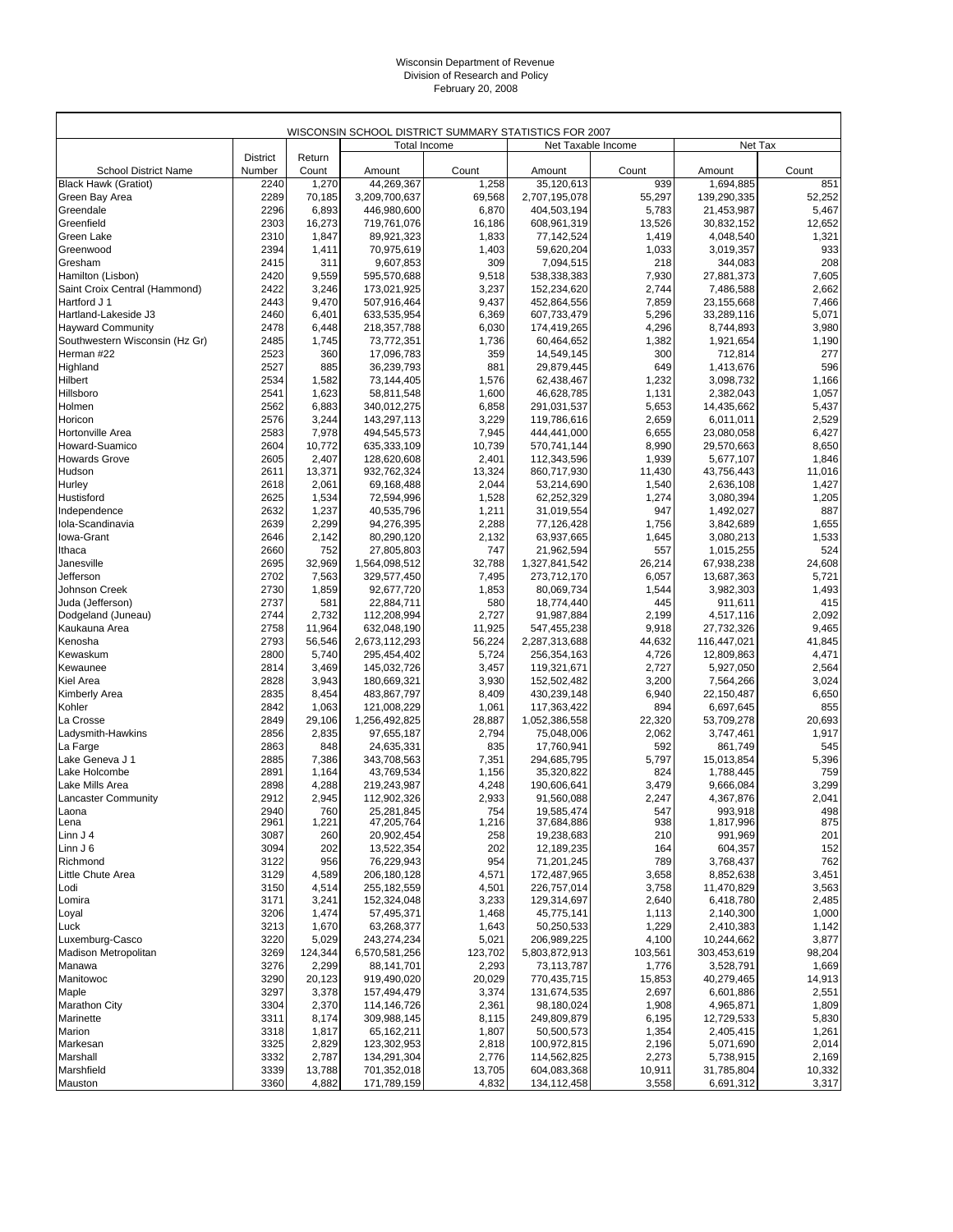| WISCONSIN SCHOOL DISTRICT SUMMARY STATISTICS FOR 2007 |                           |                 |                            |                |                           |                    |                        |                |
|-------------------------------------------------------|---------------------------|-----------------|----------------------------|----------------|---------------------------|--------------------|------------------------|----------------|
|                                                       |                           |                 | <b>Total Income</b>        |                |                           | Net Taxable Income |                        | Net Tax        |
| <b>School District Name</b>                           | <b>District</b><br>Number | Return<br>Count | Amount                     | Count          | Amount                    | Count              | Amount                 | Count          |
| <b>Black Hawk (Gratiot)</b>                           | 2240                      | 1,270           | 44,269,367                 | 1,258          | 35,120,613                | 939                | 1,694,885              | 851            |
| Green Bay Area                                        | 2289                      | 70,185          | 3,209,700,637              | 69,568         | 2,707,195,078             | 55,297             | 139,290,335            | 52,252         |
| Greendale                                             | 2296                      | 6,893           | 446,980,600                | 6,870          | 404,503,194               | 5,783              | 21,453,987             | 5,467          |
| Greenfield                                            | 2303                      | 16,273          | 719,761,076                | 16,186         | 608,961,319               | 13,526             | 30,832,152             | 12,652         |
| <b>Green Lake</b>                                     | 2310                      | 1,847           | 89,921,323                 | 1,833          | 77,142,524                | 1,419              | 4,048,540              | 1,321          |
| Greenwood                                             | 2394                      | 1,411           | 70,975,619                 | 1,403          | 59,620,204                | 1,033              | 3,019,357              | 933            |
| Gresham                                               | 2415                      | 311             | 9,607,853                  | 309            | 7,094,515                 | 218                | 344,083                | 208            |
| Hamilton (Lisbon)                                     | 2420                      | 9,559           | 595,570,688                | 9,518          | 538,338,383               | 7,930              | 27,881,373             | 7,605          |
| Saint Croix Central (Hammond)                         | 2422                      | 3,246           | 173,021,925                | 3,237          | 152,234,620               | 2,744              | 7,486,588              | 2,662          |
| Hartford J 1                                          | 2443                      | 9,470           | 507,916,464                | 9,437          | 452,864,556               | 7,859              | 23,155,668             | 7,466          |
| Hartland-Lakeside J3                                  | 2460                      | 6,401           | 633,535,954                | 6,369          | 607,733,479               | 5,296              | 33,289,116             | 5,071          |
| <b>Hayward Community</b>                              | 2478                      | 6,448           | 218,357,788                | 6,030          | 174,419,265               | 4,296              | 8,744,893              | 3,980          |
| Southwestern Wisconsin (Hz Gr)                        | 2485                      | 1,745           | 73,772,351                 | 1,736          | 60,464,652                | 1,382              | 1,921,654              | 1,190          |
| Herman #22                                            | 2523                      | 360<br>885      | 17,096,783<br>36,239,793   | 359<br>881     | 14,549,145                | 300<br>649         | 712,814<br>1,413,676   | 277<br>596     |
| Highland<br>Hilbert                                   | 2527<br>2534              | 1,582           | 73,144,405                 | 1,576          | 29,879,445<br>62,438,467  | 1,232              | 3,098,732              | 1,166          |
| Hillsboro                                             | 2541                      | 1,623           | 58,811,548                 | 1,600          | 46,628,785                | 1,131              | 2,382,043              | 1,057          |
| Holmen                                                | 2562                      | 6,883           | 340,012,275                | 6,858          | 291,031,537               | 5,653              | 14,435,662             | 5,437          |
| Horicon                                               | 2576                      | 3,244           | 143,297,113                | 3,229          | 119,786,616               | 2,659              | 6,011,011              | 2,529          |
| Hortonville Area                                      | 2583                      | 7,978           | 494,545,573                | 7,945          | 444,441,000               | 6,655              | 23,080,058             | 6,427          |
| Howard-Suamico                                        | 2604                      | 10,772          | 635,333,109                | 10,739         | 570,741,144               | 8,990              | 29,570,663             | 8,650          |
| <b>Howards Grove</b>                                  | 2605                      | 2,407           | 128,620,608                | 2,401          | 112,343,596               | 1,939              | 5,677,107              | 1,846          |
| Hudson                                                | 2611                      | 13,371          | 932,762,324                | 13,324         | 860,717,930               | 11,430             | 43,756,443             | 11,016         |
| Hurley                                                | 2618                      | 2,061           | 69,168,488                 | 2,044          | 53,214,690                | 1,540              | 2,636,108              | 1,427          |
| Hustisford                                            | 2625                      | 1,534           | 72,594,996                 | 1,528          | 62,252,329                | 1,274              | 3,080,394              | 1,205          |
| Independence                                          | 2632                      | 1,237           | 40,535,796                 | 1,211          | 31,019,554                | 947                | 1,492,027              | 887            |
| Iola-Scandinavia                                      | 2639                      | 2,299           | 94,276,395                 | 2,288          | 77,126,428                | 1,756              | 3,842,689              | 1,655          |
| Iowa-Grant                                            | 2646                      | 2,142           | 80,290,120                 | 2,132          | 63,937,665                | 1,645              | 3,080,213              | 1,533          |
| Ithaca                                                | 2660                      | 752             | 27,805,803                 | 747            | 21,962,594                | 557                | 1,015,255              | 524            |
| Janesville                                            | 2695                      | 32,969          | 1,564,098,512              | 32,788         | 1,327,841,542             | 26,214             | 67,938,238             | 24,608         |
| Jefferson                                             | 2702                      | 7,563           | 329,577,450                | 7,495          | 273,712,170               | 6,057              | 13,687,363             | 5,721          |
| <b>Johnson Creek</b>                                  | 2730<br>2737              | 1,859<br>581    | 92,677,720                 | 1,853<br>580   | 80,069,734                | 1,544<br>445       | 3,982,303              | 1,493<br>415   |
| Juda (Jefferson)<br>Dodgeland (Juneau)                | 2744                      | 2,732           | 22,884,711<br>112,208,994  | 2,727          | 18,774,440<br>91,987,884  | 2,199              | 911,611<br>4,517,116   | 2,092          |
| Kaukauna Area                                         | 2758                      | 11,964          | 632,048,190                | 11,925         | 547,455,238               | 9,918              | 27,732,326             | 9,465          |
| Kenosha                                               | 2793                      | 56,546          | 2,673,112,293              | 56,224         | 2,287,313,688             | 44,632             | 116,447,021            | 41,845         |
| Kewaskum                                              | 2800                      | 5,740           | 295,454,402                | 5,724          | 256,354,163               | 4,726              | 12,809,863             | 4,471          |
| Kewaunee                                              | 2814                      | 3,469           | 145,032,726                | 3,457          | 119,321,671               | 2,727              | 5,927,050              | 2,564          |
| Kiel Area                                             | 2828                      | 3,943           | 180,669,321                | 3,930          | 152,502,482               | 3,200              | 7,564,266              | 3,024          |
| Kimberly Area                                         | 2835                      | 8,454           | 483,867,797                | 8,409          | 430,239,148               | 6,940              | 22,150,487             | 6,650          |
| Kohler                                                | 2842                      | 1,063           | 121,008,229                | 1,061          | 117,363,422               | 894                | 6,697,645              | 855            |
| La Crosse                                             | 2849                      | 29,106          | 1,256,492,825              | 28,887         | 1,052,386,558             | 22,320             | 53,709,278             | 20,693         |
| Ladysmith-Hawkins                                     | 2856                      | 2,835           | 97,655,187                 | 2,794          | 75,048,006                | 2,062              | 3,747,461              | 1,917          |
| La Farge                                              | 2863                      | 848             | 24,635,331                 | 835            | 17,760,941                | 592                | 861,749                | 545            |
| Lake Geneva J 1                                       | 2885                      | 7,386           | 343,708,563                | 7,351          | 294,685,795               | 5,797              | 15,013,854             | 5,396          |
| Lake Holcombe                                         | 2891                      | 1,164           | 43,769,534                 | 1,156          | 35,320,822                | 824                | 1,788,445              | 759            |
| Lake Mills Area                                       | 2898                      | 4,288           | 219,243,987                | 4,248          | 190,606,641               | 3,479              | 9,666,084              | 3,299          |
| <b>Lancaster Community</b>                            | 2912                      | 2,945           | 112,902,326                | 2,933          | 91,560,088                | 2,247              | 4,367,876              | 2,041          |
| Laona<br>Lena                                         | 2940<br>2961              | 760<br>1,221    | 25,281,845<br>47,205,764   | 754<br>1,216   | 19,585,474<br>37,684,886  | 54/<br>938         | 993,918<br>1,817,996   | 498<br>875     |
| Linn J 4                                              | 3087                      | 260             | 20,902,454                 | 258            | 19,238,683                | 210                | 991,969                | 201            |
| Linn J 6                                              | 3094                      | 202             | 13,522,354                 | 202            | 12,189,235                | 164                | 604,357                | 152            |
| Richmond                                              | 3122                      | 956             | 76,229,943                 | 954            | 71,201,245                | 789                | 3,768,437              | 762            |
| Little Chute Area                                     | 3129                      | 4,589           | 206,180,128                | 4,571          | 172,487,965               | 3,658              | 8,852,638              | 3,451          |
| Lodi                                                  | 3150                      | 4,514           | 255,182,559                | 4,501          | 226,757,014               | 3,758              | 11,470,829             | 3,563          |
| Lomira                                                | 3171                      | 3,241           | 152,324,048                | 3,233          | 129,314,697               | 2,640              | 6,418,780              | 2,485          |
| Loyal                                                 | 3206                      | 1,474           | 57,495,371                 | 1,468          | 45,775,141                | 1,113              | 2,140,300              | 1,000          |
| Luck                                                  | 3213                      | 1,670           | 63,268,377                 | 1,643          | 50,250,533                | 1,229              | 2,410,383              | 1,142          |
| Luxemburg-Casco                                       | 3220                      | 5,029           | 243,274,234                | 5,021          | 206,989,225               | 4,100              | 10,244,662             | 3,877          |
| Madison Metropolitan                                  | 3269                      | 124,344         | 6,570,581,256              | 123,702        | 5,803,872,913             | 103,561            | 303,453,619            | 98,204         |
| Manawa                                                | 3276                      | 2,299           | 88,141,701                 | 2,293          | 73,113,787                | 1,776              | 3,528,791              | 1,669          |
| Manitowoc                                             | 3290                      | 20,123          | 919,490,020                | 20,029         | 770,435,715               | 15,853             | 40,279,465             | 14,913         |
| Maple<br><b>Marathon City</b>                         | 3297<br>3304              | 3,378<br>2,370  | 157,494,479<br>114,146,726 | 3,374<br>2,361 | 131,674,535<br>98,180,024 | 2,697              | 6,601,886<br>4,965,871 | 2,551<br>1,809 |
| Marinette                                             | 3311                      | 8,174           | 309,988,145                | 8,115          | 249,809,879               | 1,908<br>6,195     | 12,729,533             | 5,830          |
| Marion                                                | 3318                      | 1,817           | 65,162,211                 | 1,807          | 50,500,573                | 1,354              | 2,405,415              | 1,261          |
| Markesan                                              | 3325                      | 2,829           | 123,302,953                | 2,818          | 100,972,815               | 2,196              | 5,071,690              | 2,014          |
| Marshall                                              | 3332                      | 2,787           | 134,291,304                | 2,776          | 114,562,825               | 2,273              | 5,738,915              | 2,169          |
| Marshfield                                            | 3339                      | 13,788          | 701,352,018                | 13,705         | 604,083,368               | 10,911             | 31,785,804             | 10,332         |
| Mauston                                               | 3360                      | 4,882           | 171,789,159                | 4,832          | 134,112,458               | 3,558              | 6,691,312              | 3,317          |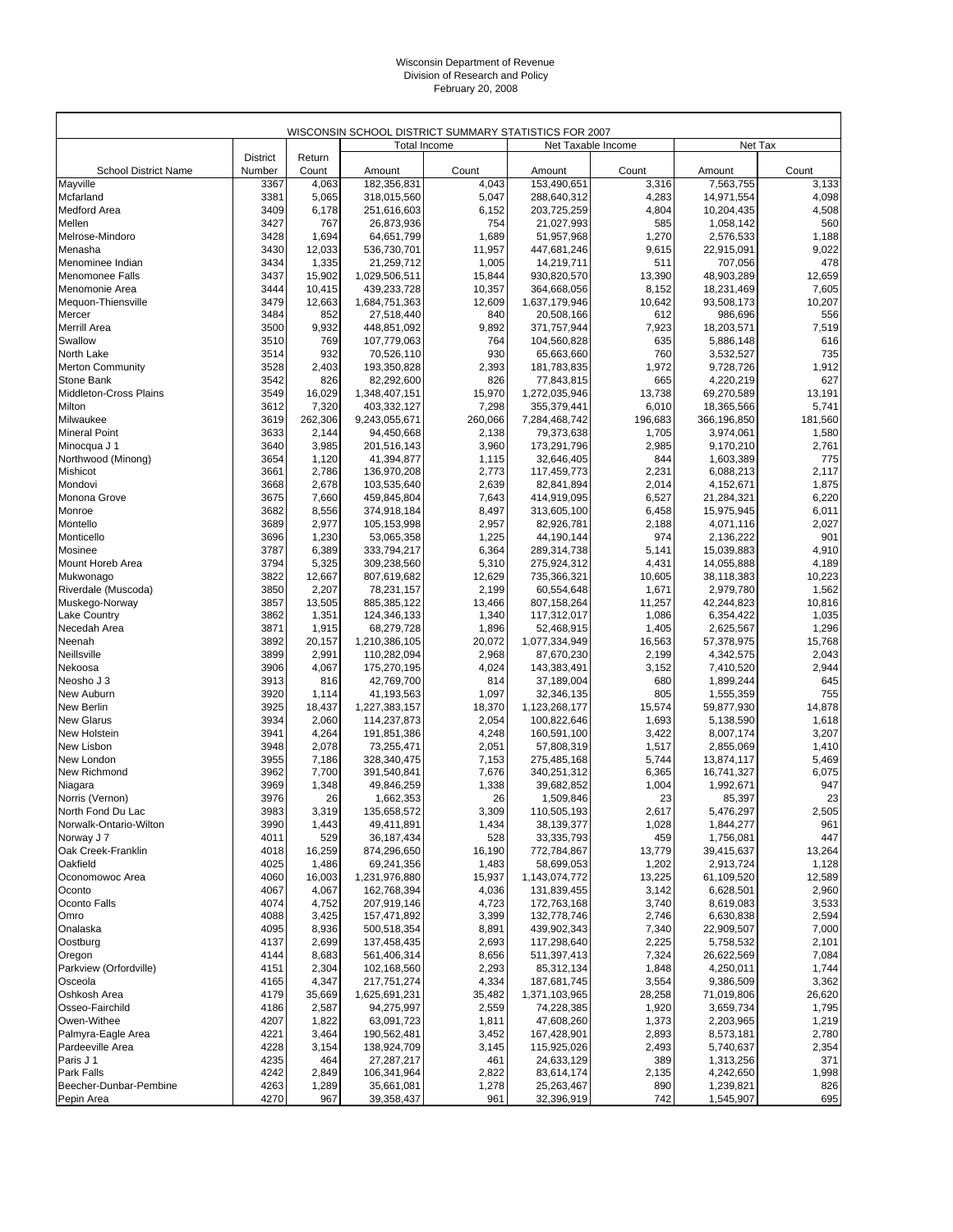|                                |                           |                 | WISCONSIN SCHOOL DISTRICT SUMMARY STATISTICS FOR 2007 |                |                             |                    |                         |                |
|--------------------------------|---------------------------|-----------------|-------------------------------------------------------|----------------|-----------------------------|--------------------|-------------------------|----------------|
|                                |                           |                 | <b>Total Income</b>                                   |                |                             | Net Taxable Income | Net Tax                 |                |
| <b>School District Name</b>    | <b>District</b><br>Number | Return<br>Count | Amount                                                | Count          | Amount                      | Count              | Amount                  | Count          |
| Mayville                       | 3367                      | 4,063           | 182,356,831                                           | 4,043          | 153,490,651                 | 3,316              | 7,563,755               | 3,133          |
| Mcfarland                      | 3381                      | 5,065           | 318,015,560                                           | 5,047          | 288,640,312                 | 4,283              | 14,971,554              | 4,098          |
| <b>Medford Area</b>            | 3409                      | 6,178           | 251,616,603                                           | 6,152          | 203,725,259                 | 4,804              | 10,204,435              | 4,508          |
| Mellen                         | 3427                      | 767             | 26,873,936                                            | 754            | 21,027,993                  | 585                | 1,058,142               | 560            |
| Melrose-Mindoro                | 3428                      | 1,694           | 64,651,799                                            | 1,689          | 51,957,968                  | 1,270              | 2,576,533               | 1,188          |
| Menasha                        | 3430                      | 12,033          | 536,730,701                                           | 11,957         | 447,681,246                 | 9,615              | 22,915,091              | 9,022          |
| Menominee Indian               | 3434                      | 1,335           | 21,259,712                                            | 1,005          | 14,219,711                  | 511                | 707,056                 | 478            |
| <b>Menomonee Falls</b>         | 3437                      | 15,902          | 1,029,506,511                                         | 15,844         | 930,820,570                 | 13,390             | 48,903,289              | 12,659         |
| Menomonie Area                 | 3444                      | 10,415          | 439,233,728                                           | 10,357         | 364,668,056                 | 8,152              | 18,231,469              | 7,605          |
| Mequon-Thiensville<br>Mercer   | 3479<br>3484              | 12,663<br>852   | 1,684,751,363<br>27,518,440                           | 12,609<br>840  | 1,637,179,946<br>20,508,166 | 10,642<br>612      | 93,508,173<br>986,696   | 10,207<br>556  |
| <b>Merrill Area</b>            | 3500                      | 9,932           | 448,851,092                                           | 9,892          | 371,757,944                 | 7,923              | 18,203,571              | 7,519          |
| Swallow                        | 3510                      | 769             | 107,779,063                                           | 764            | 104,560,828                 | 635                | 5,886,148               | 616            |
| North Lake                     | 3514                      | 932             | 70,526,110                                            | 930            | 65,663,660                  | 760                | 3,532,527               | 735            |
| <b>Merton Community</b>        | 3528                      | 2,403           | 193,350,828                                           | 2,393          | 181,783,835                 | 1,972              | 9,728,726               | 1,912          |
| Stone Bank                     | 3542                      | 826             | 82,292,600                                            | 826            | 77,843,815                  | 665                | 4,220,219               | 627            |
| Middleton-Cross Plains         | 3549                      | 16,029          | 1,348,407,151                                         | 15,970         | 1,272,035,946               | 13,738             | 69,270,589              | 13,191         |
| Milton                         | 3612                      | 7,320           | 403,332,127                                           | 7,298          | 355,379,441                 | 6,010              | 18,365,566              | 5,741          |
| Milwaukee                      | 3619                      | 262,306         | 9,243,055,671                                         | 260,066        | 7,284,468,742               | 196,683            | 366,196,850             | 181,560        |
| <b>Mineral Point</b>           | 3633                      | 2,144           | 94,450,668                                            | 2,138          | 79,373,638                  | 1,705              | 3,974,061               | 1,580          |
| Minocqua J 1                   | 3640                      | 3,985           | 201,516,143                                           | 3,960          | 173,291,796                 | 2,985              | 9,170,210               | 2,761          |
| Northwood (Minong)<br>Mishicot | 3654<br>3661              | 1,120<br>2,786  | 41,394,877<br>136,970,208                             | 1,115<br>2,773 | 32,646,405<br>117,459,773   | 844<br>2,231       | 1,603,389<br>6,088,213  | 775<br>2,117   |
| Mondovi                        | 3668                      | 2,678           | 103,535,640                                           | 2,639          | 82,841,894                  | 2,014              | 4,152,671               | 1,875          |
| Monona Grove                   | 3675                      | 7,660           | 459,845,804                                           | 7,643          | 414,919,095                 | 6,527              | 21,284,321              | 6,220          |
| Monroe                         | 3682                      | 8,556           | 374,918,184                                           | 8,497          | 313,605,100                 | 6,458              | 15,975,945              | 6,011          |
| Montello                       | 3689                      | 2,977           | 105,153,998                                           | 2,957          | 82,926,781                  | 2,188              | 4,071,116               | 2,027          |
| Monticello                     | 3696                      | 1,230           | 53,065,358                                            | 1,225          | 44,190,144                  | 974                | 2,136,222               | 901            |
| Mosinee                        | 3787                      | 6,389           | 333,794,217                                           | 6,364          | 289,314,738                 | 5,141              | 15,039,883              | 4,910          |
| Mount Horeb Area               | 3794                      | 5,325           | 309,238,560                                           | 5,310          | 275,924,312                 | 4,431              | 14,055,888              | 4,189          |
| Mukwonago                      | 3822                      | 12,667          | 807,619,682                                           | 12,629         | 735,366,321                 | 10,605             | 38,118,383              | 10,223         |
| Riverdale (Muscoda)            | 3850                      | 2,207           | 78,231,157                                            | 2,199          | 60,554,648                  | 1,671              | 2,979,780               | 1,562          |
| Muskego-Norway                 | 3857                      | 13,505          | 885,385,122                                           | 13,466         | 807,158,264                 | 11,257             | 42,244,823              | 10,816         |
| Lake Country<br>Necedah Area   | 3862<br>3871              | 1,351<br>1,915  | 124,346,133<br>68,279,728                             | 1,340<br>1,896 | 117,312,017<br>52,468,915   | 1,086<br>1,405     | 6,354,422<br>2,625,567  | 1,035<br>1,296 |
| Neenah                         | 3892                      | 20,157          | 1,210,386,105                                         | 20,072         | 1,077,334,949               | 16,563             | 57,378,975              | 15,768         |
| Neillsville                    | 3899                      | 2,991           | 110,282,094                                           | 2,968          | 87,670,230                  | 2,199              | 4,342,575               | 2,043          |
| Nekoosa                        | 3906                      | 4,067           | 175,270,195                                           | 4,024          | 143,383,491                 | 3,152              | 7,410,520               | 2,944          |
| Neosho J 3                     | 3913                      | 816             | 42,769,700                                            | 814            | 37,189,004                  | 680                | 1,899,244               | 645            |
| New Auburn                     | 3920                      | 1,114           | 41,193,563                                            | 1,097          | 32,346,135                  | 805                | 1,555,359               | 755            |
| New Berlin                     | 3925                      | 18,437          | 1,227,383,157                                         | 18,370         | 1,123,268,177               | 15,574             | 59,877,930              | 14,878         |
| <b>New Glarus</b>              | 3934                      | 2,060           | 114,237,873                                           | 2,054          | 100,822,646                 | 1,693              | 5,138,590               | 1,618          |
| New Holstein                   | 3941                      | 4,264           | 191,851,386                                           | 4,248          | 160,591,100                 | 3,422              | 8,007,174               | 3,207          |
| New Lisbon                     | 3948                      | 2,078           | 73,255,471                                            | 2,051          | 57,808,319                  | 1,517              | 2,855,069               | 1,410          |
| New London<br>New Richmond     | 3955<br>3962              | 7,186           | 328,340,475                                           | 7,153          | 275,485,168<br>340,251,312  | 5,744<br>6,365     | 13,874,117              | 5,469<br>6,075 |
| Niagara                        | 3969                      | 7,700<br>1,348  | 391,540,841<br>49,846,259                             | 7,676<br>1,338 | 39,682,852                  | 1,004              | 16,741,327<br>1,992,671 | 947            |
| Norris (Vernon)                | 3976                      | 26              | 1,662,353                                             | 26             | 1,509,846                   | 23                 | 85,397                  | 23             |
| North Fond Du Lac              | 3983                      | 3,319           | 135,658,572                                           | 3,309          | 110,505,193                 | 2,617              | 5,476,297               | 2,505          |
| Norwalk-Ontario-Wilton         | 3990                      | 1,443           | 49,411,891                                            | 1,434          | 38,139,377                  | 1,028              | 1,844,277               | 961            |
| Norway J 7                     | 4011                      | 529             | 36, 187, 434                                          | 528            | 33,335,793                  | 459                | 1,756,081               | 447            |
| Oak Creek-Franklin             | 4018                      | 16,259          | 874,296,650                                           | 16,190         | 772,784,867                 | 13,779             | 39,415,637              | 13,264         |
| Oakfield                       | 4025                      | 1,486           | 69,241,356                                            | 1,483          | 58,699,053                  | 1,202              | 2,913,724               | 1,128          |
| Oconomowoc Area                | 4060                      | 16,003          | 1,231,976,880                                         | 15,937         | 1,143,074,772               | 13,225             | 61,109,520              | 12,589         |
| Oconto                         | 4067                      | 4,067           | 162,768,394                                           | 4,036          | 131,839,455                 | 3,142              | 6,628,501               | 2,960          |
| Oconto Falls                   | 4074                      | 4,752           | 207,919,146                                           | 4,723          | 172,763,168                 | 3,740              | 8,619,083               | 3,533          |
| Omro<br>Onalaska               | 4088<br>4095              | 3,425<br>8,936  | 157,471,892<br>500,518,354                            | 3,399<br>8,891 | 132,778,746<br>439,902,343  | 2,746<br>7,340     | 6,630,838<br>22,909,507 | 2,594<br>7,000 |
| Oostburg                       | 4137                      | 2,699           | 137,458,435                                           | 2,693          | 117,298,640                 | 2,225              | 5,758,532               | 2,101          |
| Oregon                         | 4144                      | 8,683           | 561,406,314                                           | 8,656          | 511,397,413                 | 7,324              | 26,622,569              | 7,084          |
| Parkview (Orfordville)         | 4151                      | 2,304           | 102,168,560                                           | 2,293          | 85,312,134                  | 1,848              | 4,250,011               | 1,744          |
| Osceola                        | 4165                      | 4,347           | 217,751,274                                           | 4,334          | 187,681,745                 | 3,554              | 9,386,509               | 3,362          |
| Oshkosh Area                   | 4179                      | 35,669          | 1,625,691,231                                         | 35,482         | 1,371,103,965               | 28,258             | 71,019,806              | 26,620         |
| Osseo-Fairchild                | 4186                      | 2,587           | 94,275,997                                            | 2,559          | 74,228,385                  | 1,920              | 3,659,734               | 1,795          |
| Owen-Withee                    | 4207                      | 1,822           | 63,091,723                                            | 1,811          | 47,608,260                  | 1,373              | 2,203,965               | 1,219          |
| Palmyra-Eagle Area             | 4221                      | 3,464           | 190,562,481                                           | 3,452          | 167,428,901                 | 2,893              | 8,573,181               | 2,780          |
| Pardeeville Area               | 4228                      | 3,154           | 138,924,709                                           | 3,145          | 115,925,026                 | 2,493              | 5,740,637               | 2,354          |
| Paris J 1                      | 4235                      | 464             | 27,287,217                                            | 461            | 24,633,129                  | 389                | 1,313,256               | 371            |
| Park Falls                     | 4242                      | 2,849           | 106,341,964                                           | 2,822          | 83,614,174                  | 2,135              | 4,242,650               | 1,998          |
| Beecher-Dunbar-Pembine         | 4263<br>4270              | 1,289<br>967    | 35,661,081<br>39,358,437                              | 1,278<br>961   | 25,263,467<br>32,396,919    | 890<br>742         | 1,239,821               | 826<br>695     |
| Pepin Area                     |                           |                 |                                                       |                |                             |                    | 1,545,907               |                |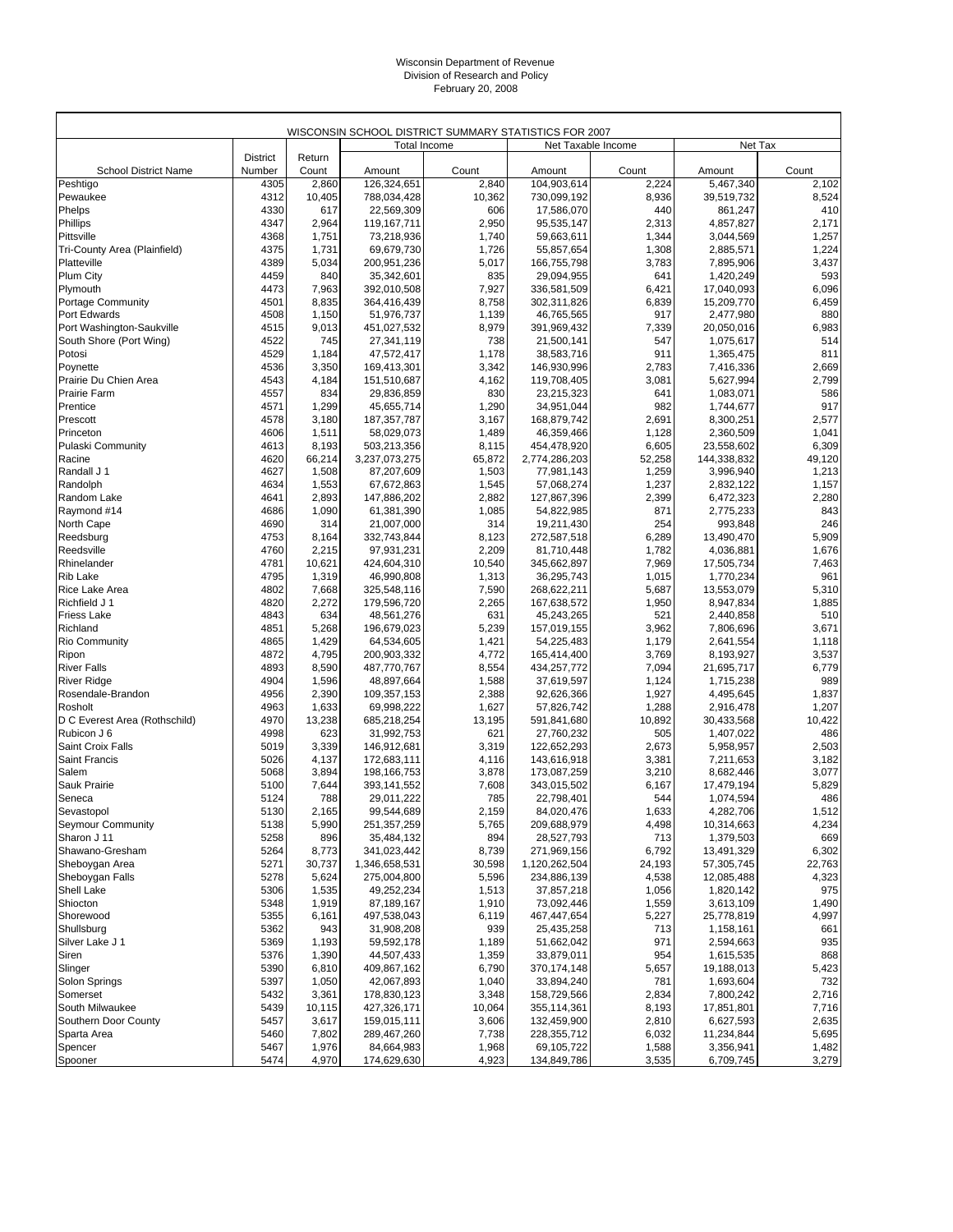| WISCONSIN SCHOOL DISTRICT SUMMARY STATISTICS FOR 2007 |                           |                 |                             |                 |                            |                    |                         |                |
|-------------------------------------------------------|---------------------------|-----------------|-----------------------------|-----------------|----------------------------|--------------------|-------------------------|----------------|
|                                                       |                           |                 | <b>Total Income</b>         |                 |                            | Net Taxable Income |                         | Net Tax        |
| <b>School District Name</b>                           | <b>District</b><br>Number | Return<br>Count | Amount                      | Count           | Amount                     | Count              | Amount                  | Count          |
| Peshtigo                                              | 4305                      | 2,860           | 126,324,651                 | 2,840           | 104,903,614                | 2,224              | 5,467,340               | 2,102          |
| Pewaukee                                              | 4312                      | 10,405          | 788,034,428                 | 10,362          | 730,099,192                | 8,936              | 39,519,732              | 8,524          |
| Phelps                                                | 4330                      | 617             | 22,569,309                  | 606             | 17,586,070                 | 440                | 861,247                 | 410            |
| Phillips                                              | 4347                      | 2,964           | 119,167,711                 | 2,950           | 95,535,147                 | 2,313              | 4,857,827               | 2,171          |
| Pittsville                                            | 4368                      | 1,751           | 73,218,936                  | 1,740           | 59,663,611                 | 1,344              | 3,044,569               | 1,257          |
| Tri-County Area (Plainfield)                          | 4375                      | 1,731           | 69,679,730                  | 1,726           | 55,857,654                 | 1,308              | 2,885,571               | 1,224          |
| Platteville<br>Plum City                              | 4389<br>4459              | 5,034<br>840    | 200,951,236                 | 5,017<br>835    | 166,755,798                | 3,783<br>641       | 7,895,906<br>1.420.249  | 3,437<br>593   |
| Plymouth                                              | 4473                      | 7,963           | 35,342,601<br>392,010,508   | 7,927           | 29,094,955<br>336,581,509  | 6,421              | 17,040,093              | 6,096          |
| <b>Portage Community</b>                              | 4501                      | 8,835           | 364,416,439                 | 8,758           | 302,311,826                | 6,839              | 15,209,770              | 6,459          |
| Port Edwards                                          | 4508                      | 1,150           | 51,976,737                  | 1,139           | 46,765,565                 | 917                | 2,477,980               | 880            |
| Port Washington-Saukville                             | 4515                      | 9,013           | 451,027,532                 | 8,979           | 391,969,432                | 7,339              | 20,050,016              | 6,983          |
| South Shore (Port Wing)                               | 4522                      | 745             | 27,341,119                  | 738             | 21,500,141                 | 547                | 1,075,617               | 514            |
| Potosi                                                | 4529                      | 1,184           | 47,572,417                  | 1,178           | 38,583,716                 | 911                | 1,365,475               | 811            |
| Poynette                                              | 4536                      | 3,350           | 169,413,301                 | 3,342           | 146,930,996                | 2,783              | 7,416,336               | 2,669          |
| Prairie Du Chien Area                                 | 4543                      | 4,184           | 151,510,687                 | 4,162           | 119,708,405                | 3,081              | 5,627,994               | 2,799          |
| <b>Prairie Farm</b>                                   | 4557                      | 834             | 29,836,859                  | 830             | 23,215,323                 | 641                | 1,083,071               | 586            |
| Prentice                                              | 4571                      | 1,299           | 45,655,714                  | 1,290           | 34,951,044                 | 982                | 1,744,677               | 917            |
| Prescott<br>Princeton                                 | 4578<br>4606              | 3,180<br>1,511  | 187, 357, 787<br>58,029,073 | 3,167<br>1,489  | 168,879,742<br>46,359,466  | 2,691<br>1,128     | 8,300,251<br>2,360,509  | 2,577<br>1,041 |
| Pulaski Community                                     | 4613                      | 8,193           | 503,213,356                 | 8,115           | 454,478,920                | 6,605              | 23,558,602              | 6,309          |
| Racine                                                | 4620                      | 66,214          | 3,237,073,275               | 65,872          | 2,774,286,203              | 52,258             | 144,338,832             | 49,120         |
| Randall J 1                                           | 4627                      | 1,508           | 87,207,609                  | 1,503           | 77,981,143                 | 1,259              | 3,996,940               | 1,213          |
| Randolph                                              | 4634                      | 1,553           | 67,672,863                  | 1,545           | 57,068,274                 | 1,237              | 2,832,122               | 1,157          |
| Random Lake                                           | 4641                      | 2,893           | 147,886,202                 | 2,882           | 127,867,396                | 2,399              | 6,472,323               | 2,280          |
| Raymond #14                                           | 4686                      | 1,090           | 61,381,390                  | 1,085           | 54,822,985                 | 871                | 2,775,233               | 843            |
| North Cape                                            | 4690                      | 314             | 21,007,000                  | 314             | 19,211,430                 | 254                | 993,848                 | 246            |
| Reedsburg                                             | 4753                      | 8,164           | 332,743,844                 | 8,123           | 272,587,518                | 6,289              | 13,490,470              | 5,909          |
| Reedsville                                            | 4760                      | 2,215           | 97,931,231                  | 2,209           | 81,710,448                 | 1,782              | 4,036,881               | 1,676          |
| Rhinelander<br><b>Rib Lake</b>                        | 4781<br>4795              | 10,621          | 424,604,310                 | 10,540          | 345,662,897                | 7,969              | 17,505,734              | 7,463<br>961   |
| Rice Lake Area                                        | 4802                      | 1,319<br>7,668  | 46,990,808<br>325,548,116   | 1,313<br>7,590  | 36,295,743<br>268,622,211  | 1,015<br>5,687     | 1,770,234<br>13,553,079 | 5,310          |
| Richfield J 1                                         | 4820                      | 2,272           | 179,596,720                 | 2,265           | 167,638,572                | 1,950              | 8,947,834               | 1,885          |
| <b>Friess Lake</b>                                    | 4843                      | 634             | 48,561,276                  | 631             | 45,243,265                 | 521                | 2,440,858               | 510            |
| Richland                                              | 4851                      | 5,268           | 196,679,023                 | 5,239           | 157,019,155                | 3,962              | 7,806,696               | 3,671          |
| <b>Rio Community</b>                                  | 4865                      | 1,429           | 64,534,605                  | 1,421           | 54,225,483                 | 1,179              | 2,641,554               | 1,118          |
| Ripon                                                 | 4872                      | 4,795           | 200,903,332                 | 4,772           | 165,414,400                | 3,769              | 8,193,927               | 3,537          |
| <b>River Falls</b>                                    | 4893                      | 8,590           | 487,770,767                 | 8,554           | 434,257,772                | 7,094              | 21,695,717              | 6,779          |
| <b>River Ridge</b>                                    | 4904                      | 1,596           | 48,897,664                  | 1,588           | 37,619,597                 | 1,124              | 1,715,238               | 989            |
| Rosendale-Brandon<br>Rosholt                          | 4956<br>4963              | 2,390<br>1,633  | 109,357,153<br>69,998,222   | 2,388<br>1,627  | 92,626,366<br>57,826,742   | 1,927<br>1,288     | 4,495,645<br>2,916,478  | 1,837<br>1,207 |
| D C Everest Area (Rothschild)                         | 4970                      | 13,238          | 685,218,254                 | 13,195          | 591,841,680                | 10,892             | 30,433,568              | 10,422         |
| Rubicon J 6                                           | 4998                      | 623             | 31,992,753                  | 621             | 27,760,232                 | 505                | 1,407,022               | 486            |
| <b>Saint Croix Falls</b>                              | 5019                      | 3,339           | 146,912,681                 | 3,319           | 122,652,293                | 2,673              | 5,958,957               | 2,503          |
| <b>Saint Francis</b>                                  | 5026                      | 4,137           | 172,683,111                 | 4,116           | 143,616,918                | 3,381              | 7,211,653               | 3,182          |
| Salem                                                 | 5068                      | 3,894           | 198, 166, 753               | 3,878           | 173,087,259                | 3,210              | 8,682,446               | 3,077          |
| Sauk Prairie                                          | 5100                      | 7,644           | 393,141,552                 | 7,608           | 343,015,502                | 6,167              | 17,479,194              | 5,829          |
| Seneca                                                | 5124                      | 788             | 29,011,222                  | 785             | 22,798,401                 | 544                | 1,074,594               | 486            |
| Sevastopol                                            | 5130                      | 2,165           | 99,544,689                  | 2,159           | 84,020,476                 | 1,633              | 4,282,706               | 1,512          |
| <b>Seymour Community</b>                              | 5138                      | 5,990           | 251,357,259                 | 5,765           | 209,688,979                | 4,498              | 10,314,663              | 4,234          |
| Sharon J 11                                           | 5258                      | 896             | 35,484,132<br>341,023,442   | 894<br>8,739    | 28,527,793<br>271,969,156  | 713<br>6,792       | 1,379,503<br>13,491,329 | 669<br>6,302   |
| Shawano-Gresham<br>Sheboygan Area                     | 5264<br>5271              | 8,773<br>30,737 | 1,346,658,531               | 30,598          | 1,120,262,504              | 24,193             | 57,305,745              | 22,763         |
| Sheboygan Falls                                       | 5278                      | 5,624           | 275,004,800                 | 5,596           | 234,886,139                | 4,538              | 12,085,488              | 4,323          |
| <b>Shell Lake</b>                                     | 5306                      | 1,535           | 49,252,234                  | 1,513           | 37,857,218                 | 1,056              | 1,820,142               | 975            |
| Shiocton                                              | 5348                      | 1,919           | 87,189,167                  | 1,910           | 73,092,446                 | 1,559              | 3,613,109               | 1,490          |
| Shorewood                                             | 5355                      | 6,161           | 497,538,043                 | 6,119           | 467,447,654                | 5,227              | 25,778,819              | 4,997          |
| Shullsburg                                            | 5362                      | 943             | 31,908,208                  | 939             | 25,435,258                 | 713                | 1,158,161               | 661            |
| Silver Lake J 1                                       | 5369                      | 1,193           | 59,592,178                  | 1,189           | 51,662,042                 | 971                | 2,594,663               | 935            |
| Siren                                                 | 5376                      | 1,390           | 44,507,433                  | 1,359           | 33,879,011                 | 954                | 1,615,535               | 868            |
| Slinger                                               | 5390                      | 6,810           | 409,867,162                 | 6,790           | 370, 174, 148              | 5,657              | 19,188,013              | 5,423          |
| Solon Springs<br>Somerset                             | 5397<br>5432              | 1,050           | 42,067,893                  | 1,040           | 33,894,240                 | 781                | 1,693,604               | 732            |
| South Milwaukee                                       | 5439                      | 3,361<br>10,115 | 178,830,123<br>427,326,171  | 3,348<br>10,064 | 158,729,566<br>355,114,361 | 2,834<br>8,193     | 7,800,242<br>17,851,801 | 2,716<br>7,716 |
| Southern Door County                                  | 5457                      | 3,617           | 159,015,111                 | 3,606           | 132,459,900                | 2,810              | 6,627,593               | 2,635          |
| Sparta Area                                           | 5460                      | 7,802           | 289,467,260                 | 7,738           | 228,355,712                | 6,032              | 11,234,844              | 5,695          |
| Spencer                                               | 5467                      | 1,976           | 84,664,983                  | 1,968           | 69,105,722                 | 1,588              | 3,356,941               | 1,482          |
| Spooner                                               | 5474                      | 4,970           | 174,629,630                 | 4,923           | 134,849,786                | 3,535              | 6,709,745               | 3,279          |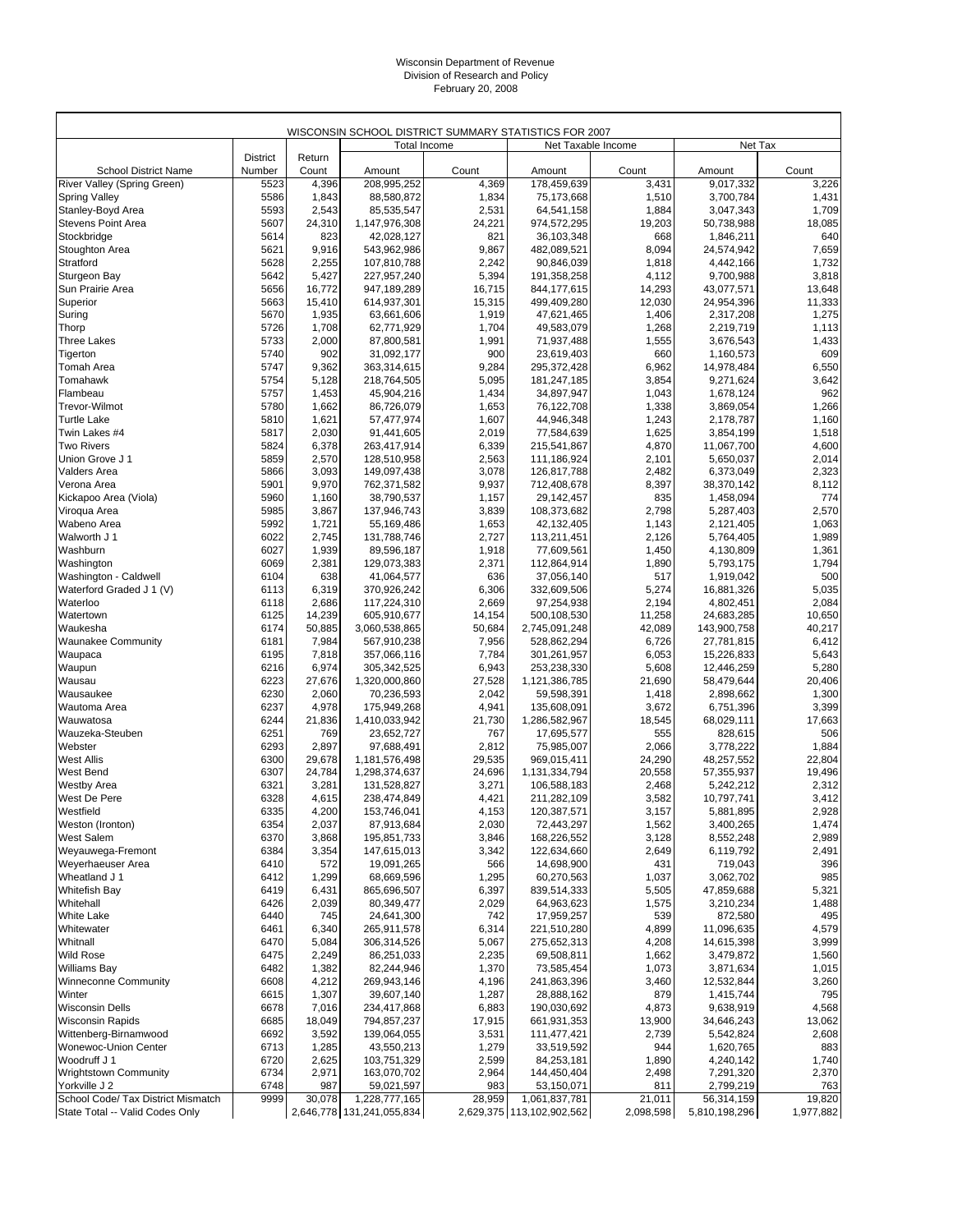| WISCONSIN SCHOOL DISTRICT SUMMARY STATISTICS FOR 2007 |                           |                 |                              |                 |                              |                    |                           |                 |
|-------------------------------------------------------|---------------------------|-----------------|------------------------------|-----------------|------------------------------|--------------------|---------------------------|-----------------|
|                                                       |                           |                 | <b>Total Income</b>          |                 |                              | Net Taxable Income | Net Tax                   |                 |
| <b>School District Name</b>                           | <b>District</b><br>Number | Return<br>Count | Amount                       | Count           | Amount                       | Count              | Amount                    | Count           |
| River Valley (Spring Green)                           | 5523                      | 4,396           | 208,995,252                  | 4,369           | 178,459,639                  | 3,431              | 9,017,332                 | 3,226           |
| <b>Spring Valley</b>                                  | 5586                      | 1,843           | 88,580,872                   | 1,834           | 75,173,668                   | 1,510              | 3,700,784                 | 1,431           |
| Stanley-Boyd Area                                     | 5593                      | 2,543           | 85,535,547                   | 2,531           | 64,541,158                   | 1,884              | 3,047,343                 | 1,709           |
| <b>Stevens Point Area</b>                             | 5607                      | 24,310          | 1,147,976,308                | 24,221          | 974,572,295                  | 19,203             | 50,738,988                | 18,085          |
| Stockbridge                                           | 5614                      | 823             | 42,028,127                   | 821             | 36,103,348                   | 668                | 1,846,211                 | 640             |
| Stoughton Area<br>Stratford                           | 5621<br>5628              | 9,916<br>2,255  | 543,962,986<br>107,810,788   | 9,867<br>2,242  | 482,089,521<br>90,846,039    | 8,094<br>1,818     | 24,574,942<br>4,442,166   | 7,659<br>1,732  |
| Sturgeon Bay                                          | 5642                      | 5,427           | 227,957,240                  | 5,394           | 191,358,258                  | 4,112              | 9,700,988                 | 3,818           |
| Sun Prairie Area                                      | 5656                      | 16,772          | 947,189,289                  | 16,715          | 844,177,615                  | 14,293             | 43,077,571                | 13,648          |
| Superior                                              | 5663                      | 15,410          | 614,937,301                  | 15,315          | 499,409,280                  | 12,030             | 24,954,396                | 11,333          |
| Suring                                                | 5670                      | 1,935           | 63,661,606                   | 1,919           | 47,621,465                   | 1,406              | 2,317,208                 | 1,275           |
| Thorp                                                 | 5726                      | 1,708           | 62,771,929                   | 1,704           | 49,583,079                   | 1,268              | 2,219,719                 | 1,113           |
| <b>Three Lakes</b><br>Tigerton                        | 5733<br>5740              | 2,000<br>902    | 87,800,581<br>31,092,177     | 1,991<br>900    | 71,937,488<br>23,619,403     | 1,555<br>660       | 3,676,543<br>1,160,573    | 1,433<br>609    |
| Tomah Area                                            | 5747                      | 9,362           | 363,314,615                  | 9,284           | 295,372,428                  | 6,962              | 14,978,484                | 6,550           |
| Tomahawk                                              | 5754                      | 5,128           | 218,764,505                  | 5,095           | 181,247,185                  | 3,854              | 9,271,624                 | 3,642           |
| Flambeau                                              | 5757                      | 1,453           | 45,904,216                   | 1,434           | 34,897,947                   | 1,043              | 1,678,124                 | 962             |
| <b>Trevor-Wilmot</b>                                  | 5780                      | 1,662           | 86,726,079                   | 1,653           | 76,122,708                   | 1,338              | 3,869,054                 | 1,266           |
| <b>Turtle Lake</b>                                    | 5810                      | 1,621           | 57,477,974                   | 1,607           | 44,946,348                   | 1,243              | 2,178,787                 | 1,160           |
| Twin Lakes #4<br><b>Two Rivers</b>                    | 5817<br>5824              | 2,030<br>6,378  | 91,441,605                   | 2,019<br>6,339  | 77,584,639                   | 1,625<br>4,870     | 3,854,199<br>11,067,700   | 1,518<br>4,600  |
| Union Grove J 1                                       | 5859                      | 2,570           | 263,417,914<br>128,510,958   | 2,563           | 215,541,867<br>111,186,924   | 2,101              | 5,650,037                 | 2,014           |
| Valders Area                                          | 5866                      | 3,093           | 149,097,438                  | 3,078           | 126,817,788                  | 2,482              | 6,373,049                 | 2,323           |
| Verona Area                                           | 5901                      | 9,970           | 762,371,582                  | 9,937           | 712,408,678                  | 8,397              | 38,370,142                | 8,112           |
| Kickapoo Area (Viola)                                 | 5960                      | 1,160           | 38,790,537                   | 1,157           | 29,142,457                   | 835                | 1,458,094                 | 774             |
| Viroqua Area                                          | 5985                      | 3,867           | 137,946,743                  | 3,839           | 108,373,682                  | 2,798              | 5,287,403                 | 2,570           |
| Wabeno Area                                           | 5992                      | 1,721           | 55,169,486                   | 1,653           | 42,132,405<br>113,211,451    | 1,143              | 2,121,405                 | 1,063           |
| Walworth J 1<br>Washburn                              | 6022<br>6027              | 2,745<br>1,939  | 131,788,746<br>89,596,187    | 2,727<br>1,918  | 77,609,561                   | 2,126<br>1,450     | 5,764,405<br>4,130,809    | 1,989<br>1,361  |
| Washington                                            | 6069                      | 2,381           | 129,073,383                  | 2,371           | 112,864,914                  | 1,890              | 5,793,175                 | 1,794           |
| Washington - Caldwell                                 | 6104                      | 638             | 41,064,577                   | 636             | 37,056,140                   | 517                | 1,919,042                 | 500             |
| Waterford Graded J 1 (V)                              | 6113                      | 6,319           | 370,926,242                  | 6,306           | 332,609,506                  | 5,274              | 16,881,326                | 5,035           |
| Waterloo                                              | 6118                      | 2,686           | 117,224,310                  | 2,669           | 97,254,938                   | 2,194              | 4,802,451                 | 2,084           |
| Watertown                                             | 6125                      | 14,239          | 605,910,677                  | 14,154          | 500,108,530                  | 11,258             | 24,683,285                | 10,650          |
| Waukesha<br><b>Waunakee Community</b>                 | 6174<br>6181              | 50,885<br>7,984 | 3,060,538,865<br>567,910,238 | 50,684<br>7,956 | 2,745,091,248<br>528,862,294 | 42,089<br>6,726    | 143,900,758<br>27,781,815 | 40,217<br>6,412 |
| Waupaca                                               | 6195                      | 7,818           | 357,066,116                  | 7,784           | 301,261,957                  | 6,053              | 15,226,833                | 5,643           |
| Waupun                                                | 6216                      | 6,974           | 305,342,525                  | 6,943           | 253,238,330                  | 5,608              | 12,446,259                | 5,280           |
| Wausau                                                | 6223                      | 27,676          | 1,320,000,860                | 27,528          | 1,121,386,785                | 21,690             | 58,479,644                | 20,406          |
| Wausaukee                                             | 6230                      | 2,060           | 70,236,593                   | 2,042           | 59,598,391                   | 1,418              | 2,898,662                 | 1,300           |
| Wautoma Area<br>Wauwatosa                             | 6237<br>6244              | 4,978           | 175,949,268                  | 4,941           | 135,608,091                  | 3,672              | 6,751,396<br>68,029,111   | 3,399           |
| Wauzeka-Steuben                                       | 6251                      | 21,836<br>769   | 1,410,033,942<br>23,652,727  | 21,730<br>767   | 1,286,582,967<br>17,695,577  | 18,545<br>555      | 828,615                   | 17,663<br>506   |
| Webster                                               | 6293                      | 2,897           | 97,688,491                   | 2,812           | 75,985,007                   | 2,066              | 3,778,222                 | 1,884           |
| <b>West Allis</b>                                     | 6300                      | 29,678          | 1,181,576,498                | 29,535          | 969,015,411                  | 24,290             | 48,257,552                | 22,804          |
| <b>West Bend</b>                                      | 6307                      | 24,784          | 1,298,374,637                | 24,696          | 1,131,334,794                | 20,558             | 57,355,937                | 19,496          |
| <b>Westby Area</b>                                    | 6321                      | 3,281           | 131,528,827                  | 3,271           | 106,588,183                  | 2,468              | 5,242,212                 | 2,312           |
| West De Pere<br>Westfield                             | 6328<br>6335              | 4,615<br>4,200  | 238,474,849<br>153,746,041   | 4,421<br>4,153  | 211,282,109<br>120,387,571   | 3,582<br>3,157     | 10,797,741<br>5,881,895   | 3,412<br>2,928  |
| Weston (Ironton)                                      | 6354                      | 2,037           | 87,913,684                   | 2,030           | 72,443,297                   | 1,562              | 3,400,265                 | 1,474           |
| <b>West Salem</b>                                     | 6370                      | 3,868           | 195,851,733                  | 3,846           | 168,226,552                  | 3,128              | 8,552,248                 | 2,989           |
| Weyauwega-Fremont                                     | 6384                      | 3,354           | 147,615,013                  | 3,342           | 122,634,660                  | 2,649              | 6,119,792                 | 2,491           |
| Weyerhaeuser Area                                     | 6410                      | 572             | 19,091,265                   | 566             | 14,698,900                   | 431                | 719,043                   | 396             |
| Wheatland J 1                                         | 6412                      | 1,299           | 68,669,596                   | 1,295           | 60,270,563                   | 1,037              | 3,062,702                 | 985             |
| <b>Whitefish Bay</b><br>Whitehall                     | 6419<br>6426              | 6,431<br>2,039  | 865,696,507<br>80,349,477    | 6,397<br>2,029  | 839,514,333<br>64,963,623    | 5,505<br>1,575     | 47,859,688<br>3,210,234   | 5,321<br>1,488  |
| <b>White Lake</b>                                     | 6440                      | 745             | 24,641,300                   | 742             | 17,959,257                   | 539                | 872,580                   | 495             |
| Whitewater                                            | 6461                      | 6,340           | 265,911,578                  | 6,314           | 221,510,280                  | 4,899              | 11,096,635                | 4,579           |
| Whitnall                                              | 6470                      | 5,084           | 306,314,526                  | 5,067           | 275,652,313                  | 4,208              | 14,615,398                | 3,999           |
| <b>Wild Rose</b>                                      | 6475                      | 2,249           | 86,251,033                   | 2,235           | 69,508,811                   | 1,662              | 3,479,872                 | 1,560           |
| <b>Williams Bay</b>                                   | 6482                      | 1,382           | 82,244,946                   | 1,370           | 73,585,454                   | 1,073              | 3,871,634                 | 1,015           |
| <b>Winneconne Community</b><br>Winter                 | 6608<br>6615              | 4,212<br>1,307  | 269,943,146<br>39,607,140    | 4,196<br>1,287  | 241,863,396<br>28,888,162    | 3,460<br>879       | 12,532,844<br>1,415,744   | 3,260<br>795    |
| <b>Wisconsin Dells</b>                                | 6678                      | 7,016           | 234,417,868                  | 6,883           | 190,030,692                  | 4,873              | 9,638,919                 | 4,568           |
| <b>Wisconsin Rapids</b>                               | 6685                      | 18,049          | 794,857,237                  | 17,915          | 661,931,353                  | 13,900             | 34,646,243                | 13,062          |
| Wittenberg-Birnamwood                                 | 6692                      | 3,592           | 139,064,055                  | 3,531           | 111,477,421                  | 2,739              | 5,542,824                 | 2,608           |
| Wonewoc-Union Center                                  | 6713                      | 1,285           | 43,550,213                   | 1,279           | 33,519,592                   | 944                | 1,620,765                 | 883             |
| Woodruff J 1                                          | 6720                      | 2,625           | 103,751,329                  | 2,599           | 84,253,181                   | 1,890              | 4,240,142                 | 1,740           |
| <b>Wrightstown Community</b><br>Yorkville J 2         | 6734<br>6748              | 2,971<br>987    | 163,070,702<br>59,021,597    | 2,964<br>983    | 144,450,404<br>53,150,071    | 2,498<br>811       | 7,291,320<br>2,799,219    | 2,370           |
| School Code/ Tax District Mismatch                    | 9999                      | 30,078          | 1,228,777,165                | 28,959          | 1,061,837,781                | 21,011             | 56,314,159                | 763<br>19,820   |
| State Total -- Valid Codes Only                       |                           |                 | 2,646,778 131,241,055,834    |                 | 2,629,375 113,102,902,562    | 2,098,598          | 5,810,198,296             | 1,977,882       |